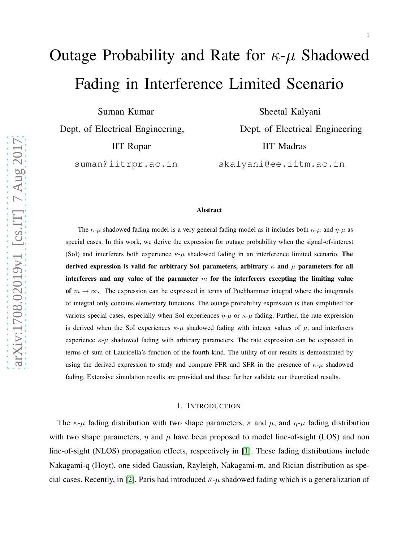# Outage Probability and Rate for  $\kappa$ - $\mu$  Shadowed Fading in Interference Limited Scenario

Suman Kumar Sheetal Kalyani

Dept. of Electrical Engineering, Dept. of Electrical Engineering IIT Ropar IIT Madras

suman@iitrpr.ac.in skalyani@ee.iitm.ac.in

#### Abstract

The  $\kappa-\mu$  shadowed fading model is a very general fading model as it includes both  $\kappa-\mu$  and  $\eta-\mu$  as special cases. In this work, we derive the expression for outage probability when the signal-of-interest (SoI) and interferers both experience  $\kappa$ - $\mu$  shadowed fading in an interference limited scenario. The derived expression is valid for arbitrary SoI parameters, arbitrary  $\kappa$  and  $\mu$  parameters for all interferers and any value of the parameter  $m$  for the interferers excepting the limiting value of  $m \to \infty$ . The expression can be expressed in terms of Pochhammer integral where the integrands of integral only contains elementary functions. The outage probability expression is then simplified for various special cases, especially when SoI experiences  $\eta$ - $\mu$  or  $\kappa$ - $\mu$  fading. Further, the rate expression is derived when the SoI experiences  $\kappa$ - $\mu$  shadowed fading with integer values of  $\mu$ , and interferers experience  $\kappa-\mu$  shadowed fading with arbitrary parameters. The rate expression can be expressed in terms of sum of Lauricella's function of the fourth kind. The utility of our results is demonstrated by using the derived expression to study and compare FFR and SFR in the presence of  $\kappa$ - $\mu$  shadowed fading. Extensive simulation results are provided and these further validate our theoretical results.

#### I. INTRODUCTION

The  $\kappa$ - $\mu$  fading distribution with two shape parameters,  $\kappa$  and  $\mu$ , and  $\eta$ - $\mu$  fading distribution with two shape parameters,  $\eta$  and  $\mu$  have been proposed to model line-of-sight (LOS) and non line-of-sight (NLOS) propagation effects, respectively in [\[1\]](#page-27-0). These fading distributions include Nakagami-q (Hoyt), one sided Gaussian, Rayleigh, Nakagami-m, and Rician distribution as spe-cial cases. Recently, in [\[2\]](#page-27-1), Paris had introduced  $\kappa$ - $\mu$  shadowed fading which is a generalization of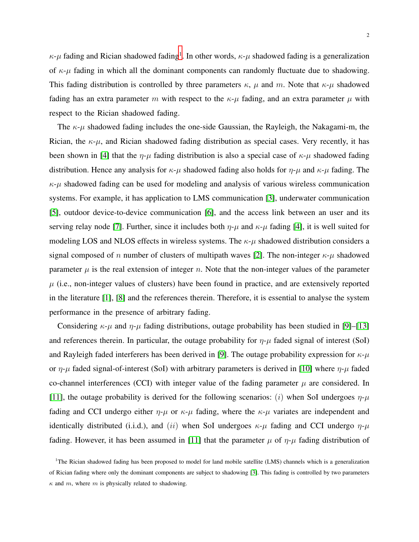$\kappa$ - $\mu$  fading and Rician shadowed fading<sup>[1](#page-1-0)</sup>. In other words,  $\kappa$ - $\mu$  shadowed fading is a generalization of  $\kappa$ - $\mu$  fading in which all the dominant components can randomly fluctuate due to shadowing. This fading distribution is controlled by three parameters  $\kappa$ ,  $\mu$  and m. Note that  $\kappa$ - $\mu$  shadowed fading has an extra parameter m with respect to the  $\kappa-\mu$  fading, and an extra parameter  $\mu$  with respect to the Rician shadowed fading.

The  $\kappa$ - $\mu$  shadowed fading includes the one-side Gaussian, the Rayleigh, the Nakagami-m, the Rician, the  $\kappa-\mu$ , and Rician shadowed fading distribution as special cases. Very recently, it has been shown in [\[4\]](#page-27-2) that the  $\eta$ - $\mu$  fading distribution is also a special case of  $\kappa$ - $\mu$  shadowed fading distribution. Hence any analysis for  $\kappa-\mu$  shadowed fading also holds for  $\eta-\mu$  and  $\kappa-\mu$  fading. The  $\kappa$ - $\mu$  shadowed fading can be used for modeling and analysis of various wireless communication systems. For example, it has application to LMS communication [\[3\]](#page-27-3), underwater communication [\[5\]](#page-28-0), outdoor device-to-device communication [\[6\]](#page-28-1), and the access link between an user and its serving relay node [\[7\]](#page-28-2). Further, since it includes both  $\eta-\mu$  and  $\kappa-\mu$  fading [\[4\]](#page-27-2), it is well suited for modeling LOS and NLOS effects in wireless systems. The  $\kappa$ - $\mu$  shadowed distribution considers a signal composed of n number of clusters of multipath waves [\[2\]](#page-27-1). The non-integer  $\kappa$ - $\mu$  shadowed parameter  $\mu$  is the real extension of integer n. Note that the non-integer values of the parameter  $\mu$  (i.e., non-integer values of clusters) have been found in practice, and are extensively reported in the literature [\[1\]](#page-27-0), [\[8\]](#page-28-3) and the references therein. Therefore, it is essential to analyse the system performance in the presence of arbitrary fading.

Considering  $\kappa$ - $\mu$  and  $\eta$ - $\mu$  fading distributions, outage probability has been studied in [\[9\]](#page-28-4)–[\[13\]](#page-28-5) and references therein. In particular, the outage probability for  $\eta$ - $\mu$  faded signal of interest (SoI) and Rayleigh faded interferers has been derived in [\[9\]](#page-28-4). The outage probability expression for  $\kappa$ - $\mu$ or  $\eta$ - $\mu$  faded signal-of-interest (SoI) with arbitrary parameters is derived in [\[10\]](#page-28-6) where  $\eta$ - $\mu$  faded co-channel interferences (CCI) with integer value of the fading parameter  $\mu$  are considered. In [\[11\]](#page-28-7), the outage probability is derived for the following scenarios: (i) when SoI undergoes  $\eta$ - $\mu$ fading and CCI undergo either  $\eta-\mu$  or  $\kappa-\mu$  fading, where the  $\kappa-\mu$  variates are independent and identically distributed (i.i.d.), and (ii) when SoI undergoes  $\kappa-\mu$  fading and CCI undergo  $\eta-\mu$ fading. However, it has been assumed in [\[11\]](#page-28-7) that the parameter  $\mu$  of  $\eta$ - $\mu$  fading distribution of

<span id="page-1-0"></span><sup>&</sup>lt;sup>1</sup>The Rician shadowed fading has been proposed to model for land mobile satellite (LMS) channels which is a generalization of Rician fading where only the dominant components are subject to shadowing [\[3\]](#page-27-3). This fading is controlled by two parameters  $\kappa$  and  $m$ , where  $m$  is physically related to shadowing.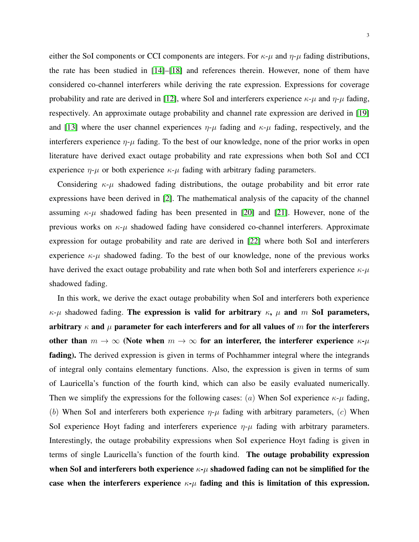either the SoI components or CCI components are integers. For  $\kappa$ - $\mu$  and  $\eta$ - $\mu$  fading distributions, the rate has been studied in [\[14\]](#page-28-8)–[\[18\]](#page-28-9) and references therein. However, none of them have considered co-channel interferers while deriving the rate expression. Expressions for coverage probability and rate are derived in [\[12\]](#page-28-10), where SoI and interferers experience  $\kappa-\mu$  and  $\eta-\mu$  fading, respectively. An approximate outage probability and channel rate expression are derived in [\[19\]](#page-28-11) and [\[13\]](#page-28-5) where the user channel experiences  $\eta-\mu$  fading and  $\kappa-\mu$  fading, respectively, and the interferers experience  $\eta$ - $\mu$  fading. To the best of our knowledge, none of the prior works in open literature have derived exact outage probability and rate expressions when both SoI and CCI experience  $\eta$ - $\mu$  or both experience  $\kappa$ - $\mu$  fading with arbitrary fading parameters.

Considering  $\kappa-\mu$  shadowed fading distributions, the outage probability and bit error rate expressions have been derived in [\[2\]](#page-27-1). The mathematical analysis of the capacity of the channel assuming  $\kappa$ - $\mu$  shadowed fading has been presented in [\[20\]](#page-28-12) and [\[21\]](#page-28-13). However, none of the previous works on  $\kappa-\mu$  shadowed fading have considered co-channel interferers. Approximate expression for outage probability and rate are derived in [\[22\]](#page-28-14) where both SoI and interferers experience  $\kappa-\mu$  shadowed fading. To the best of our knowledge, none of the previous works have derived the exact outage probability and rate when both SoI and interferers experience  $\kappa$ - $\mu$ shadowed fading.

In this work, we derive the exact outage probability when SoI and interferers both experience  $\kappa$ - $\mu$  shadowed fading. The expression is valid for arbitrary  $\kappa$ ,  $\mu$  and m SoI parameters, arbitrary  $\kappa$  and  $\mu$  parameter for each interferers and for all values of m for the interferers other than  $m \to \infty$  (Note when  $m \to \infty$  for an interferer, the interferer experience  $\kappa$ - $\mu$ fading). The derived expression is given in terms of Pochhammer integral where the integrands of integral only contains elementary functions. Also, the expression is given in terms of sum of Lauricella's function of the fourth kind, which can also be easily evaluated numerically. Then we simplify the expressions for the following cases: (a) When SoI experience  $\kappa$ - $\mu$  fading, (b) When SoI and interferers both experience  $\eta$ - $\mu$  fading with arbitrary parameters, (c) When SoI experience Hoyt fading and interferers experience  $\eta$ - $\mu$  fading with arbitrary parameters. Interestingly, the outage probability expressions when SoI experience Hoyt fading is given in terms of single Lauricella's function of the fourth kind. The outage probability expression when SoI and interferers both experience  $\kappa$ - $\mu$  shadowed fading can not be simplified for the case when the interferers experience  $\kappa$ - $\mu$  fading and this is limitation of this expression.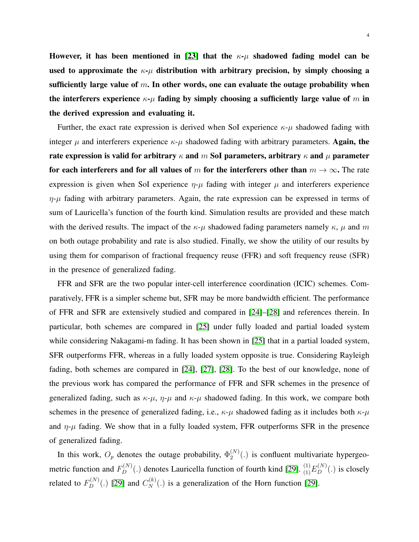However, it has been mentioned in [\[23\]](#page-29-0) that the  $\kappa$ - $\mu$  shadowed fading model can be used to approximate the  $\kappa$ - $\mu$  distribution with arbitrary precision, by simply choosing a sufficiently large value of  $m$ . In other words, one can evaluate the outage probability when the interferers experience  $\kappa$ - $\mu$  fading by simply choosing a sufficiently large value of m in the derived expression and evaluating it.

Further, the exact rate expression is derived when SoI experience  $\kappa-\mu$  shadowed fading with integer  $\mu$  and interferers experience  $\kappa$ - $\mu$  shadowed fading with arbitrary parameters. Again, the rate expression is valid for arbitrary  $\kappa$  and m SoI parameters, arbitrary  $\kappa$  and  $\mu$  parameter for each interferers and for all values of m for the interferers other than  $m \to \infty$ . The rate expression is given when SoI experience  $\eta$ - $\mu$  fading with integer  $\mu$  and interferers experience  $\eta$ - $\mu$  fading with arbitrary parameters. Again, the rate expression can be expressed in terms of sum of Lauricella's function of the fourth kind. Simulation results are provided and these match with the derived results. The impact of the  $\kappa$ - $\mu$  shadowed fading parameters namely  $\kappa$ ,  $\mu$  and m on both outage probability and rate is also studied. Finally, we show the utility of our results by using them for comparison of fractional frequency reuse (FFR) and soft frequency reuse (SFR) in the presence of generalized fading.

FFR and SFR are the two popular inter-cell interference coordination (ICIC) schemes. Comparatively, FFR is a simpler scheme but, SFR may be more bandwidth efficient. The performance of FFR and SFR are extensively studied and compared in [\[24\]](#page-29-1)–[\[28\]](#page-29-2) and references therein. In particular, both schemes are compared in [\[25\]](#page-29-3) under fully loaded and partial loaded system while considering Nakagami-m fading. It has been shown in [\[25\]](#page-29-3) that in a partial loaded system, SFR outperforms FFR, whereas in a fully loaded system opposite is true. Considering Rayleigh fading, both schemes are compared in [\[24\]](#page-29-1), [\[27\]](#page-29-4), [\[28\]](#page-29-2). To the best of our knowledge, none of the previous work has compared the performance of FFR and SFR schemes in the presence of generalized fading, such as  $\kappa-\mu$ ,  $\eta-\mu$  and  $\kappa-\mu$  shadowed fading. In this work, we compare both schemes in the presence of generalized fading, i.e.,  $\kappa$ - $\mu$  shadowed fading as it includes both  $\kappa$ - $\mu$ and  $\eta$ - $\mu$  fading. We show that in a fully loaded system, FFR outperforms SFR in the presence of generalized fading.

In this work,  $O_p$  denotes the outage probability,  $\Phi_2^{(N)}$  $2^{(N)}(.)$  is confluent multivariate hypergeometric function and  $F_D^{(N)}(.)$  denotes Lauricella function of fourth kind [\[29\]](#page-29-5).  $\binom{1}{1}E_D^{(N)}(.)$  is closely related to  $F_D^{(N)}(.)$  [\[29\]](#page-29-5) and  $C_N^{(k)}(.)$  is a generalization of the Horn function [29].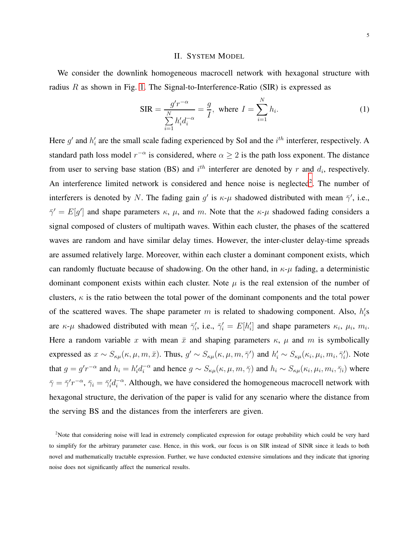#### II. SYSTEM MODEL

We consider the downlink homogeneous macrocell network with hexagonal structure with radius  $R$  as shown in Fig. [1.](#page-5-0) The Signal-to-Interference-Ratio (SIR) is expressed as

<span id="page-4-1"></span>
$$
SIR = \frac{g'r^{-\alpha}}{\sum_{i=1}^{N} h'_i d_i^{-\alpha}} = \frac{g}{I}, \text{ where } I = \sum_{i=1}^{N} h_i.
$$
 (1)

Here  $g'$  and  $h'_i$  are the small scale fading experienced by SoI and the  $i<sup>th</sup>$  interferer, respectively. A standard path loss model  $r^{-\alpha}$  is considered, where  $\alpha \geq 2$  is the path loss exponent. The distance from user to serving base station (BS) and  $i<sup>th</sup>$  interferer are denoted by r and  $d_i$ , respectively. An interference limited network is considered and hence noise is neglected<sup>[2](#page-4-0)</sup>. The number of interferers is denoted by N. The fading gain g' is  $\kappa$ - $\mu$  shadowed distributed with mean  $\bar{\gamma}'$ , i.e.,  $\bar{\gamma}' = E[g']$  and shape parameters  $\kappa$ ,  $\mu$ , and m. Note that the  $\kappa$ - $\mu$  shadowed fading considers a signal composed of clusters of multipath waves. Within each cluster, the phases of the scattered waves are random and have similar delay times. However, the inter-cluster delay-time spreads are assumed relatively large. Moreover, within each cluster a dominant component exists, which can randomly fluctuate because of shadowing. On the other hand, in  $\kappa$ - $\mu$  fading, a deterministic dominant component exists within each cluster. Note  $\mu$  is the real extension of the number of clusters,  $\kappa$  is the ratio between the total power of the dominant components and the total power of the scattered waves. The shape parameter m is related to shadowing component. Also,  $h_i$ 's are  $\kappa$ - $\mu$  shadowed distributed with mean  $\bar{\gamma}'_i$ , i.e.,  $\bar{\gamma}'_i = E[h'_i]$  and shape parameters  $\kappa_i$ ,  $\mu_i$ ,  $m_i$ . Here a random variable x with mean  $\bar{x}$  and shaping parameters  $\kappa$ ,  $\mu$  and m is symbolically expressed as  $x \sim S_{\kappa\mu}(\kappa, \mu, m, \bar{x})$ . Thus,  $g' \sim S_{\kappa\mu}(\kappa, \mu, m, \bar{\gamma}')$  and  $h'_i \sim S_{\kappa\mu}(\kappa_i, \mu_i, m_i, \bar{\gamma}'_i)$ . Note that  $g = g'r^{-\alpha}$  and  $h_i = h'_id_i^{-\alpha}$  and hence  $g \sim S_{\kappa\mu}(\kappa, \mu, m, \bar{\gamma})$  and  $h_i \sim S_{\kappa\mu}(\kappa_i, \mu_i, m_i, \bar{\gamma}_i)$  where  $\bar{\gamma} = \bar{\gamma}' r^{-\alpha}, \bar{\gamma}_i = \bar{\gamma}'_i d_i^{-\alpha}$ . Although, we have considered the homogeneous macrocell network with hexagonal structure, the derivation of the paper is valid for any scenario where the distance from the serving BS and the distances from the interferers are given.

<span id="page-4-0"></span><sup>&</sup>lt;sup>2</sup>Note that considering noise will lead in extremely complicated expression for outage probability which could be very hard to simplify for the arbitrary parameter case. Hence, in this work, our focus is on SIR instead of SINR since it leads to both novel and mathematically tractable expression. Further, we have conducted extensive simulations and they indicate that ignoring noise does not significantly affect the numerical results.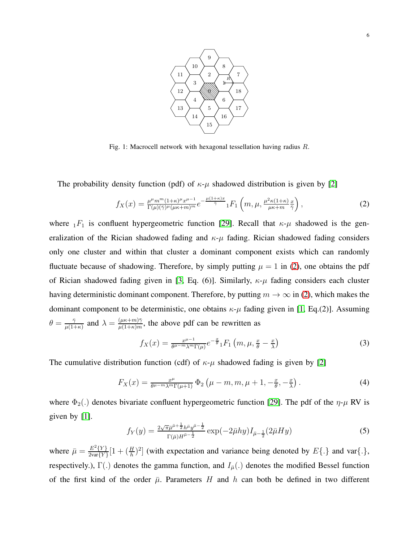<span id="page-5-0"></span>

Fig. 1: Macrocell network with hexagonal tessellation having radius R.

The probability density function (pdf) of  $\kappa$ - $\mu$  shadowed distribution is given by [\[2\]](#page-27-1)

<span id="page-5-1"></span>
$$
f_X(x) = \frac{\mu^{\mu} m^m (1+\kappa)^{\mu} x^{\mu-1}}{\Gamma(\mu)(\bar{\gamma})^{\mu} (\mu \kappa + m)^m} e^{-\frac{\mu (1+\kappa)x}{\bar{\gamma}}} {}_1F_1\left(m, \mu, \frac{\mu^2 \kappa (1+\kappa)}{\mu \kappa + m} \frac{x}{\bar{\gamma}}\right),\tag{2}
$$

where  $_1F_1$  is confluent hypergeometric function [\[29\]](#page-29-5). Recall that  $\kappa$ - $\mu$  shadowed is the generalization of the Rician shadowed fading and  $\kappa-\mu$  fading. Rician shadowed fading considers only one cluster and within that cluster a dominant component exists which can randomly fluctuate because of shadowing. Therefore, by simply putting  $\mu = 1$  in [\(2\)](#page-5-1), one obtains the pdf of Rician shadowed fading given in [\[3,](#page-27-3) Eq. (6)]. Similarly,  $\kappa$ - $\mu$  fading considers each cluster having deterministic dominant component. Therefore, by putting  $m \to \infty$  in [\(2\)](#page-5-1), which makes the dominant component to be deterministic, one obtains  $\kappa$ - $\mu$  fading given in [\[1,](#page-27-0) Eq.(2)]. Assuming  $\theta = \frac{\bar{\gamma}}{u(1-\bar{\gamma})}$  $\frac{\bar{\gamma}}{\mu(1+\kappa)}$  and  $\lambda = \frac{(\mu\kappa+m)\bar{\gamma}}{\mu(1+\kappa)m}$  $\frac{(\mu \kappa + m)\gamma}{\mu(1+\kappa)m}$ , the above pdf can be rewritten as

$$
f_X(x) = \frac{x^{\mu-1}}{\theta^{\mu-m}\lambda^m \Gamma(\mu)} e^{-\frac{x}{\theta}} {}_1F_1\left(m,\mu,\frac{x}{\theta}-\frac{x}{\lambda}\right) \tag{3}
$$

The cumulative distribution function (cdf) of  $\kappa$ - $\mu$  shadowed fading is given by [\[2\]](#page-27-1)

$$
F_X(x) = \frac{x^{\mu}}{\theta^{\mu - m} \lambda^m \Gamma(\mu + 1)} \Phi_2 \left( \mu - m, m, \mu + 1, -\frac{x}{\theta}, -\frac{x}{\lambda} \right). \tag{4}
$$

where  $\Phi_2(.)$  denotes bivariate confluent hypergeometric function [\[29\]](#page-29-5). The pdf of the  $\eta$ - $\mu$  RV is given by [\[1\]](#page-27-0).

$$
f_Y(y) = \frac{2\sqrt{\pi}\bar{\mu}^{\bar{\mu} + \frac{1}{2}}h^{\bar{\mu}}y^{\bar{\mu} - \frac{1}{2}}}{\Gamma(\bar{\mu})H^{\bar{\mu} - \frac{1}{2}}} \exp(-2\bar{\mu}hy) I_{\bar{\mu} - \frac{1}{2}}(2\bar{\mu}Hy)
$$
(5)

where  $\bar{\mu} = \frac{E^2 \{Y\}}{2 \text{var} \{Y\}}$  $\frac{E^2\{Y\}}{2var\{Y\}}[1+(\frac{H}{h})^2]$  (with expectation and variance being denoted by  $E\{.\}$  and var $\{.\},$ respectively.),  $\Gamma(.)$  denotes the gamma function, and  $I_{\bar{\mu}}(.)$  denotes the modified Bessel function of the first kind of the order  $\bar{\mu}$ . Parameters H and h can both be defined in two different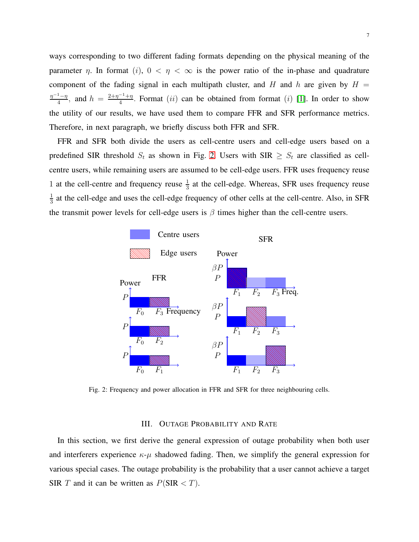ways corresponding to two different fading formats depending on the physical meaning of the parameter  $\eta$ . In format (i),  $0 < \eta < \infty$  is the power ratio of the in-phase and quadrature component of the fading signal in each multipath cluster, and H and h are given by  $H =$  $\frac{\eta^{-1} - \eta}{4}$ , and  $h = \frac{2 + \eta^{-1} + \eta}{4}$  $\frac{1+n}{4}$ . Format *(ii)* can be obtained from format *(i)* [\[1\]](#page-27-0). In order to show the utility of our results, we have used them to compare FFR and SFR performance metrics. Therefore, in next paragraph, we briefly discuss both FFR and SFR.

FFR and SFR both divide the users as cell-centre users and cell-edge users based on a predefined SIR threshold  $S_t$  as shown in Fig. [2.](#page-6-0) Users with SIR  $\geq S_t$  are classified as cellcentre users, while remaining users are assumed to be cell-edge users. FFR uses frequency reuse 1 at the cell-centre and frequency reuse  $\frac{1}{3}$  at the cell-edge. Whereas, SFR uses frequency reuse 1  $\frac{1}{3}$  at the cell-edge and uses the cell-edge frequency of other cells at the cell-centre. Also, in SFR the transmit power levels for cell-edge users is  $\beta$  times higher than the cell-centre users.

<span id="page-6-0"></span>

Fig. 2: Frequency and power allocation in FFR and SFR for three neighbouring cells.

#### III. OUTAGE PROBABILITY AND RATE

In this section, we first derive the general expression of outage probability when both user and interferers experience  $\kappa-\mu$  shadowed fading. Then, we simplify the general expression for various special cases. The outage probability is the probability that a user cannot achieve a target SIR T and it can be written as  $P(SIR < T)$ .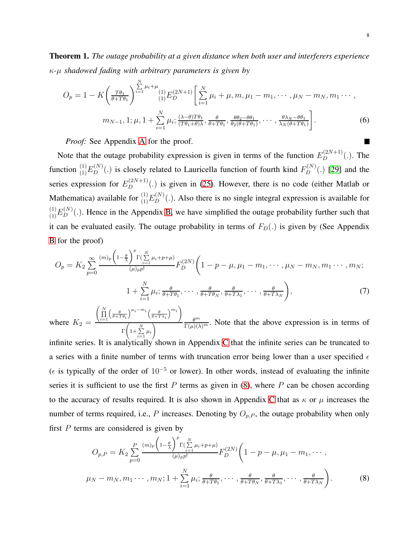Theorem 1. *The outage probability at a given distance when both user and interferers experience* κ*-*µ *shadowed fading with arbitrary parameters is given by*

$$
O_p = 1 - K \left( \frac{T\theta_1}{\theta + T\theta_1} \right)^{\sum_{i=1}^{N} \mu_i + \mu} (1) E_D^{(2N+1)} \left[ \sum_{i=1}^{N} \mu_i + \mu, m, \mu_1 - m_1, \cdots, \mu_N - m_N, m_1 \cdots, \mu_N - m_{N+1} \cdots, \mu_N - m_{N+1} \cdots, \frac{m_N}{(1 + \theta_1 + \theta_1 + \theta_2 + \theta_3 + \theta_4 + \theta_5 + \theta_7 + \theta_8 + \theta_9 + \theta_9 + \theta_1 + \theta_1 + \theta_1 + \theta_1 + \theta_2 + \theta_3 + \theta_4 + \theta_1 + \theta_1 + \theta_2 + \theta_3 + \theta_4 + \theta_1 + \theta_1 + \theta_2 + \theta_3 + \theta_4 + \theta_1 + \theta_2 + \theta_3 + \theta_4 + \theta_1 + \theta_2 + \theta_3 + \theta_4 + \theta_5 + \theta_5 + \theta_6 + \theta_7 + \theta_1 + \theta_7 + \theta_8 + \theta_7 + \theta_8 + \theta_9 + \theta_9 + \theta_1 + \theta_1 + \theta_1 + \theta_2 + \theta_3 + \theta_4 + \theta_1 + \theta_2 + \theta_3 + \theta_4 + \theta_5 + \theta_6 + \theta_7 + \theta_1 + \theta_1 + \theta_2 + \theta_3 + \theta_4 + \theta_1 + \theta_1 + \theta_2 + \theta_3 + \theta_4 + \theta_1 + \theta_1 + \theta_2 + \theta_3 + \theta_4 + \theta_1 + \theta_1 + \theta_2 + \theta_3 + \theta_4 + \theta_1 + \theta_3 + \theta_4 + \theta_5 + \theta_6 + \theta_7 + \theta_1 + \theta_2 + \theta_3 + \theta_4 + \theta_5 + \theta_6 + \theta_7 + \theta_1 + \theta_7 + \theta_8 + \theta_8 + \theta_9 + \theta_8 + \theta_9 + \theta_9 + \theta_9 + \theta_1 + \theta_1 + \theta_1 + \theta_1 + \theta_2 + \theta_3 + \theta_4 + \theta_1 + \theta_1 + \theta_3 + \theta_4 + \theta_1 + \theta_1 + \theta_4 + \theta_1 + \theta_1 + \theta_1 + \theta_2 + \theta_3 + \theta_4 + \theta_1 + \theta_1
$$

<span id="page-7-2"></span>*Proof:* See [A](#page-18-0)ppendix A for the proof.

Note that the outage probability expression is given in terms of the function  $E_D^{(2N+1)}(.)$ . The function  ${}^{(1)}_{(1)}E_D^{(N)}(.)$  is closely related to Lauricella function of fourth kind  $F_D^{(N)}(.)$  [\[29\]](#page-29-5) and the series expression for  $E_D^{(2N+1)}(.)$  is given in [\(25\)](#page-19-0). However, there is no code (either Matlab or Mathematica) available for  $\binom{1}{1} E_D^{(N)}(.)$ . Also there is no single integral expression is available for  $\binom{(1)}{(1)}$  $E_D^{(N)}(.)$ . Hence in the Appendix [B,](#page-20-0) we have simplified the outage probability further such that it can be evaluated easily. The outage probability in terms of  $F_D(.)$  is given by (See Appendix [B](#page-20-0) for the proof)

<span id="page-7-1"></span>
$$
O_p = K_2 \sum_{p=0}^{\infty} \frac{(m)_p \left(1 - \frac{\theta}{\lambda}\right)^p \Gamma(\sum_{i=1}^N \mu_i + p + \mu)}{(\mu)_{p} p!} F_D^{(2N)}\left(1 - p - \mu, \mu_1 - m_1, \cdots, \mu_N - m_N, m_1 \cdots, m_N;\right.\n\left. 1 + \sum_{i=1}^N \mu_i; \frac{\theta}{\theta + T\theta_1}, \cdots, \frac{\theta}{\theta + T\theta_N}, \frac{\theta}{\theta + T\lambda_1}, \cdots, \frac{\theta}{\theta + T\lambda_N}\right),
$$
\n(7)

where  $K_2 =$  $\left(\prod_{i=1}^N\right)$  $\left(\frac{\theta}{\theta+T\theta_i}\right)^{\mu_i-m_i}\left(\frac{\theta}{\theta+T\lambda_i}\right)^{m_i}\right)$  $\Gamma\left(1+\sum\limits_{i=1}^{N}\mu_i\right)$  $\frac{\theta^m}{\Gamma(\mu)(\lambda)^m}$ . Note that the above expression is in terms of

infinite series. It is analytically shown in Appendix [C](#page-22-0) that the infinite series can be truncated to a series with a finite number of terms with truncation error being lower than a user specified  $\epsilon$ ( $\epsilon$  is typically of the order of 10<sup>-5</sup> or lower). In other words, instead of evaluating the infinite series it is sufficient to use the first  $P$  terms as given in [\(8\)](#page-7-0), where  $P$  can be chosen according to the accuracy of results required. It is also shown in Appendix [C](#page-22-0) that as  $\kappa$  or  $\mu$  increases the number of terms required, i.e.,  $P$  increases. Denoting by  $O_{p,P}$ , the outage probability when only first  $P$  terms are considered is given by

<span id="page-7-0"></span>
$$
O_{p,P} = K_2 \sum_{p=0}^{P} \frac{(m)_p \left(1 - \frac{\theta}{\lambda}\right)^p \Gamma(\sum_{i=1}^N \mu_i + p + \mu)}{(\mu)_p p!} F_D^{(2N)} \left(1 - p - \mu, \mu_1 - m_1, \cdots, \mu_N - m_N, m_1 \cdots, m_N; 1 + \sum_{i=1}^N \mu_i; \frac{\theta}{\theta + T\theta_1}, \cdots, \frac{\theta}{\theta + T\theta_N}, \frac{\theta}{\theta + T\lambda_1}, \cdots, \frac{\theta}{\theta + T\lambda_N}\right). \tag{8}
$$

**In the Second State**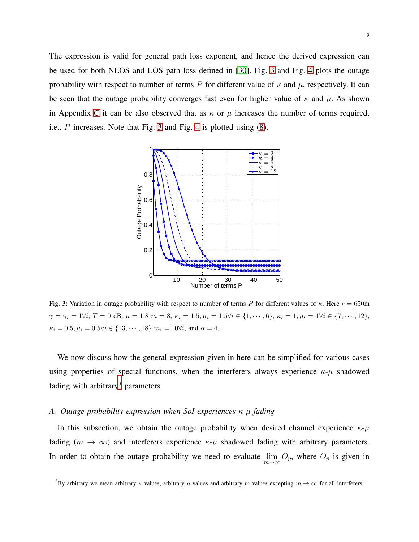<span id="page-8-0"></span>The expression is valid for general path loss exponent, and hence the derived expression can be used for both NLOS and LOS path loss defined in [\[30\]](#page-29-6). Fig. [3](#page-8-0) and Fig. [4](#page-9-0) plots the outage probability with respect to number of terms P for different value of  $\kappa$  and  $\mu$ , respectively. It can be seen that the outage probability converges fast even for higher value of  $\kappa$  and  $\mu$ . As shown in Appendix [C](#page-22-0) it can be also observed that as  $\kappa$  or  $\mu$  increases the number of terms required, i.e., P increases. Note that Fig. [3](#page-8-0) and Fig. [4](#page-9-0) is plotted using [\(8\)](#page-7-0).



Fig. 3: Variation in outage probability with respect to number of terms P for different values of  $\kappa$ . Here  $r = 650$ m  $\bar{\gamma} = \bar{\gamma}_i = 1 \forall i, T = 0 \text{ dB}, \mu = 1.8 \text{ m} = 8, \kappa_i = 1.5, \mu_i = 1.5 \forall i \in \{1, \cdots, 6\}, \kappa_i = 1, \mu_i = 1 \forall i \in \{7, \cdots, 12\},\$  $\kappa_i = 0.5, \mu_i = 0.5 \forall i \in \{13, \cdots, 18\}$   $m_i = 10 \forall i$ , and  $\alpha = 4$ .

We now discuss how the general expression given in here can be simplified for various cases using properties of special functions, when the interferers always experience  $\kappa$ - $\mu$  shadowed fading with arbitrary<sup>[3](#page-8-1)</sup> parameters

## *A. Outage probability expression when SoI experiences* κ*-*µ *fading*

In this subsection, we obtain the outage probability when desired channel experience  $\kappa$ - $\mu$ fading ( $m \to \infty$ ) and interferers experience  $\kappa-\mu$  shadowed fading with arbitrary parameters. In order to obtain the outage probability we need to evaluate  $\lim_{m\to\infty} O_p$ , where  $O_p$  is given in

<span id="page-8-1"></span><sup>&</sup>lt;sup>3</sup>By arbitrary we mean arbitrary  $\kappa$  values, arbitrary  $\mu$  values and arbitrary m values excepting  $m \to \infty$  for all interferers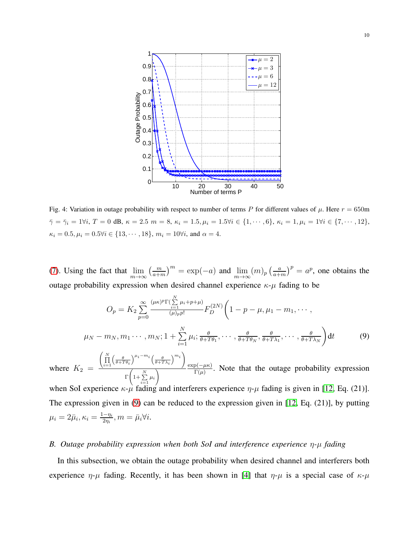<span id="page-9-0"></span>

Fig. 4: Variation in outage probability with respect to number of terms P for different values of  $\mu$ . Here  $r = 650$ m  $\bar{\gamma} = \bar{\gamma}_i = 1 \forall i, T = 0$  dB,  $\kappa = 2.5$   $m = 8$ ,  $\kappa_i = 1.5, \mu_i = 1.5 \forall i \in \{1, \cdots, 6\}$ ,  $\kappa_i = 1, \mu_i = 1 \forall i \in \{7, \cdots, 12\}$ ,  $\kappa_i = 0.5, \mu_i = 0.5 \forall i \in \{13, \cdots, 18\}, m_i = 10 \forall i$ , and  $\alpha = 4$ .

[\(7\)](#page-7-1). Using the fact that  $\lim_{m \to \infty} \left(\frac{m}{a+m}\right)^m = \exp(-a)$  and  $\lim_{m \to \infty} (m)_p \left(\frac{a}{a+m}\right)$  $\left(\frac{a}{a+m}\right)^p = a^p$ , one obtains the outage probability expression when desired channel experience  $\kappa$ - $\mu$  fading to be

<span id="page-9-1"></span>
$$
O_p = K_2 \sum_{p=0}^{\infty} \frac{(\mu \kappa)^p \Gamma(\sum_{i=1}^N \mu_i + p + \mu)}{(\mu)_p p!} F_D^{(2N)} \left(1 - p - \mu, \mu_1 - m_1, \cdots, \mu_N - m_N, m_1 \cdots, m_N; 1 + \sum_{i=1}^N \mu_i; \frac{\theta}{\theta + T\theta_1}, \cdots, \frac{\theta}{\theta + T\theta_N}, \frac{\theta}{\theta + T\lambda_1}, \cdots, \frac{\theta}{\theta + T\lambda_N} \right) dt
$$
(9)

where  $K_2 =$  $\left(\prod_{i=1}^N\right)$  $\left(\frac{\theta}{\theta+T\theta_i}\right)^{\mu_i-m_i}\left(\frac{\theta}{\theta+T\lambda_i}\right)^{m_i}\right)$  $\frac{\Gamma\left(1+\sum\limits_{i=1}^{N}\mu_i\right)}{\Gamma(\mu)}$ . Note that the outage probability expression when SoI experience  $\kappa$ - $\mu$  fading and interferers experience  $\eta$ - $\mu$  fading is given in [\[12,](#page-28-10) Eq. (21)]. The expression given in [\(9\)](#page-9-1) can be reduced to the expression given in [\[12,](#page-28-10) Eq. (21)], by putting  $\mu_i = 2\bar{\mu}_i, \kappa_i = \frac{1-\eta_i}{2\eta_i}, m = \bar{\mu}_i \forall i.$ 

## *B. Outage probability expression when both SoI and interference experience* η*-*µ *fading*

In this subsection, we obtain the outage probability when desired channel and interferers both experience  $\eta$ - $\mu$  fading. Recently, it has been shown in [\[4\]](#page-27-2) that  $\eta$ - $\mu$  is a special case of  $\kappa$ - $\mu$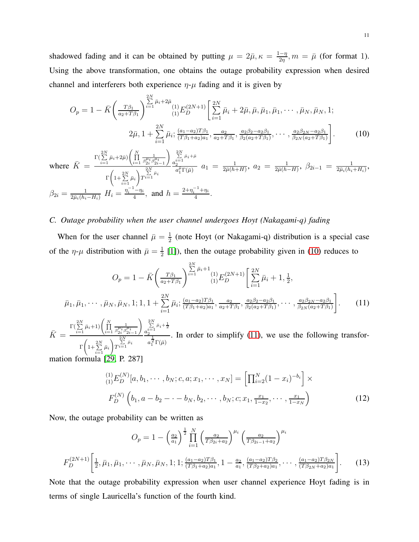shadowed fading and it can be obtained by putting  $\mu = 2\bar{\mu}, \kappa = \frac{1-\eta}{2\eta}, m = \bar{\mu}$  (for format 1). Using the above transformation, one obtains the outage probability expression when desired channel and interferers both experience  $\eta$ - $\mu$  fading and it is given by

<span id="page-10-0"></span>
$$
O_p = 1 - \bar{K} \left( \frac{T\beta_1}{a_2 + T\beta_1} \right)^{\sum_{i=1}^{2N} \bar{\mu}_i + 2\bar{\mu}} (1) E_D^{(2N+1)} \left[ \sum_{i=1}^{2N} \bar{\mu}_i + 2\bar{\mu}, \bar{\mu}_i, \bar{\mu}_1, \bar{\mu}_1, \dots, \bar{\mu}_N, \bar{\mu}_N, 1; \right]
$$
  

$$
2\bar{\mu}, 1 + \sum_{i=1}^{2N} \bar{\mu}_i; \frac{(a_1 - a_2)T\beta_1}{(T\beta_1 + a_2)a_1}, \frac{a_2}{a_2 + T\beta_1}, \frac{a_2\beta_2 - a_2\beta_1}{\beta_2(a_2 + T\beta_1)}, \dots, \frac{a_2\beta_{2N} - a_2\beta_1}{\beta_{2N}(a_2 + T\beta_1)} \right].
$$
 (10)

where  $\bar{K} = \frac{\Gamma(\sum\limits_{i=1}^{2N} \bar{\mu}_i + 2\bar{\mu}) \left(\prod\limits_{i=1}^{N} \right)}{\Gamma(\sum\limits_{i=1}^{2N} \bar{\mu}_i + 2\bar{\mu})}$ 1  $\beta_{2i}^{\mu} \beta_{2i-1}^{\mu_i}$  $\setminus$  $\Gamma\left(1+\sum\limits_{i=1}^{2N}\bar{\mu}_i\right)T$  $\sum_{i=1}^{2N} \bar{\mu}_i$ a  $\sum\limits_{i=1}^{2N}\bar{\mu}_i+\bar{\mu}$  $\frac{a^2}{a_1^{\bar{\mu}}\Gamma(\bar{\mu})}$   $a_1 = \frac{1}{2\bar{\mu}(h)}$  $\frac{1}{2\bar{\mu}(h+H)},\;a_2\,=\,\frac{1}{2\bar{\mu}(h+H)}$  $\frac{1}{2\bar{\mu}(h-H)}, \ \beta_{2i-1} = \frac{1}{2\bar{\mu}_i(h_i)}$  $\frac{1}{2\bar{\mu}_i(h_i+H_i)},$  $\beta_{2i} = \frac{1}{2\bar{\mu}_i(h_i - H_i)}$   $\hat{H}_i = \frac{\eta_i^{-1} - \eta_i}{4}$ , and  $h = \frac{2 + \eta_i^{-1} + \eta_i}{4}$  $\frac{+\eta_i}{4}$ .

## *C. Outage probability when the user channel undergoes Hoyt (Nakagami-q) fading*

When for the user channel  $\bar{\mu} = \frac{1}{2}$  $\frac{1}{2}$  (note Hoyt (or Nakagami-q) distribution is a special case of the  $\eta$ - $\mu$  distribution with  $\bar{\mu} = \frac{1}{2}$  $\frac{1}{2}$  [\[1\]](#page-27-0)), then the outage probability given in [\(10\)](#page-10-0) reduces to

$$
O_p = 1 - \bar{K} \left( \frac{T\beta_1}{a_2 + T\beta_1} \right)^{\sum_{i=1}^{2N} \bar{\mu}_i + 1} (1) E_D^{(2N+1)} \left[ \sum_{i=1}^{2N} \bar{\mu}_i + 1, \frac{1}{2}, \bar{\mu}_i, \bar{\mu}_1, \bar{\mu}_1, \cdots, \bar{\mu}_N, \bar{\mu}_N, 1; 1, 1 + \sum_{i=1}^{2N} \bar{\mu}_i; \frac{(a_1 - a_2)T\beta_1}{(T\beta_1 + a_2)a_1}, \frac{a_2}{a_2 + T\beta_1}, \frac{a_2\beta_2 - a_2\beta_1}{\beta_2(a_2 + T\beta_1)}, \cdots, \frac{a_2\beta_{2N} - a_2\beta_1}{\beta_{2N}(a_2 + T\beta_1)} \right].
$$
 (11)

<span id="page-10-1"></span> $\bar{K} = \frac{\Gamma(\sum\limits_{i=1}^{2N} \bar{\mu}_i + 1)(\prod\limits_{i=1}^{N} \bar{K}_i + 1)}{K}$ 1  $\beta_{2i}^{\mu} \beta_{2i-1}^{\mu_i}$  $\setminus$  $\Gamma\left(1+\sum^{2N}\bar{\mu}_i\right)T$  $i=1$  $\sum_{i=1}^{2N} \bar{\mu}_i$ a  $\sum_{i=1}^{2N} \bar{\mu}_i + \frac{1}{2}$ 2  $a_1^{\tfrac{1}{2}} \Gamma(\bar{\mu})$ . In order to simplify [\(11\)](#page-10-1), we use the following transformation formula [\[29,](#page-29-5) P. 287]

$$
\begin{aligned}\n\binom{1}{1} E_D^{(N)}[a, b_1, \cdots, b_N; c, a; x_1, \cdots, x_N] &= \left[ \prod_{i=2}^N (1 - x_i)^{-b_i} \right] \times \\
F_D^{(N)}\left( b_1, a - b_2 - \cdots - b_N, b_2, \cdots, b_N; c; x_1, \frac{x_1}{1 - x_2}, \cdots, \frac{x_1}{1 - x_N} \right)\n\end{aligned} \tag{12}
$$

Now, the outage probability can be written as

$$
O_p = 1 - \left(\frac{a_2}{a_1}\right)^{\frac{1}{2}} \prod_{i=1}^N \left(\frac{a_2}{T\beta_{2i}+a_2}\right)^{\mu_i} \left(\frac{a_2}{T\beta_{2i-1}+a_2}\right)^{\mu_i}
$$

$$
F_D^{(2N+1)} \left[\frac{1}{2}, \bar{\mu}_1, \bar{\mu}_1, \dots, \bar{\mu}_N, \bar{\mu}_N, 1; 1; \frac{(a_1 - a_2)T\beta_1}{(T\beta_1 + a_2)a_1}, 1 - \frac{a_2}{a_1}, \frac{(a_1 - a_2)T\beta_2}{(T\beta_2 + a_2)a_1}, \dots, \frac{(a_1 - a_2)T\beta_{2N}}{(T\beta_{2N} + a_2)a_1}\right].
$$
 (13)

Note that the outage probability expression when user channel experience Hoyt fading is in terms of single Lauricella's function of the fourth kind.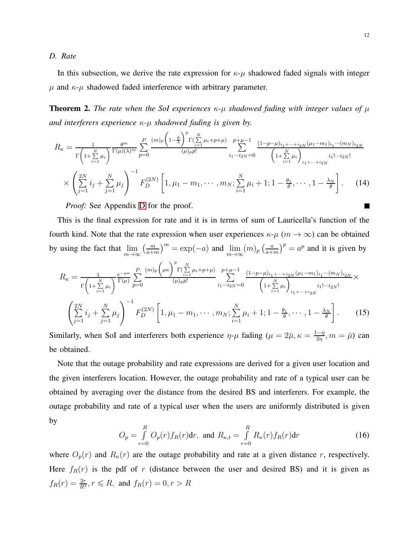## *D. Rate*

In this subsection, we derive the rate expression for  $\kappa-\mu$  shadowed faded signals with integer  $\mu$  and  $\kappa$ - $\mu$  shadowed faded interference with arbitrary parameter.

Theorem 2. *The rate when the SoI experiences* κ*-*µ *shadowed fading with integer values of* µ *and interferers experience* κ*-*µ *shadowed fading is given by.*

$$
R_{\kappa} = \frac{1}{\Gamma\left(1+\sum\limits_{i=1}^{N}\mu_{i}\right)} \frac{\theta^{m}}{\Gamma(\mu)(\lambda)^{m}} \sum_{p=0}^{P} \frac{(m)_{p} \left(1-\frac{\theta}{\lambda}\right)^{p} \Gamma\left(\sum\limits_{i=1}^{N}\mu_{i}+p+\mu\right)}{(\mu)_{p}p!} \sum_{i_{1}\cdots i_{2N}=0}^{p+\mu-1} \frac{(1-p-\mu)_{i_{1}+\cdots+i_{2N}}(\mu_{1}-m_{1})_{i_{1}\cdots}(m_{N})_{i_{2N}}}{\left(1+\sum\limits_{i=1}^{N}\mu_{i}\right)_{i_{1}+\cdots+i_{2N}}},
$$
\n
$$
\times \left(\sum_{j=1}^{2N} i_{j} + \sum_{j=1}^{N}\mu_{j}\right)^{-1} F_{D}^{(2N)} \left[1, \mu_{1}-m_{1}, \cdots, m_{N}; \sum_{i=1}^{N}\mu_{i}+1; 1-\frac{\theta_{1}}{\theta}, \cdots, 1-\frac{\lambda_{N}}{\theta}\right].
$$
\n(14)

<span id="page-11-0"></span>*Proof:* See Appendix [D](#page-25-0) for the proof.

This is the final expression for rate and it is in terms of sum of Lauricella's function of the fourth kind. Note that the rate expression when user experiences  $\kappa$ - $\mu$  ( $m \to \infty$ ) can be obtained by using the fact that  $\lim_{m \to \infty} \left(\frac{m}{a+m}\right)^m = \exp(-a)$  and  $\lim_{m \to \infty} (m)_p \left(\frac{a}{a+m}\right)$  $\left(\frac{a}{a+m}\right)^p = a^p$  and it is given by

$$
R_{\kappa} = \frac{1}{\Gamma\left(1+\sum\limits_{i=1}^{N}\mu_{i}\right)} \frac{e^{-\mu\kappa}}{\Gamma(\mu)} \sum_{p=0}^{P} \frac{(m)_{p}\left(\mu\kappa\right)^{p}\Gamma\left(\sum\limits_{i=1}^{N}\mu_{i}+p+\mu\right)}{(\mu)_{p}p!} \sum_{i_{1}\cdots i_{2N}=0}^{p+\mu-1} \frac{(1-p-\mu)_{i_{1}+\cdots+i_{2N}}(\mu_{1}-m_{1})_{i_{1}}\cdots(m_{N})_{i_{2N}}}{\left(1+\sum\limits_{i=1}^{N}\mu_{i}\right)_{i_{1}+\cdots+i_{2N}}}\times \left(\frac{2N}{j=1}i_{j}+\sum\limits_{j=1}^{N}\mu_{j}\right)^{-1} F_{D}^{(2N)}\left[1,\mu_{1}-m_{1},\cdots,m_{N};\sum\limits_{i=1}^{N}\mu_{i}+1;1-\frac{\theta_{1}}{\theta},\cdots,1-\frac{\lambda_{N}}{\theta}\right].
$$
 (15)

Similarly, when SoI and interferers both experience  $\eta$ - $\mu$  fading ( $\mu = 2\bar{\mu}, \kappa = \frac{1-\eta}{2\eta}, m = \bar{\mu}$ ) can be obtained.

Note that the outage probability and rate expressions are derived for a given user location and the given interferers location. However, the outage probability and rate of a typical user can be obtained by averaging over the distance from the desired BS and interferers. For example, the outage probability and rate of a typical user when the users are uniformly distributed is given by

$$
O_p = \int_{r=0}^{R} O_p(r) f_R(r) dr, \text{ and } R_{\kappa,t} = \int_{r=0}^{R} R_{\kappa}(r) f_R(r) dr \qquad (16)
$$

where  $O_p(r)$  and  $R_{\kappa}(r)$  are the outage probability and rate at a given distance r, respectively. Here  $f_R(r)$  is the pdf of r (distance between the user and desired BS) and it is given as  $f_R(r) = \frac{2r}{R^2}, r \le R$ , and  $f_R(r) = 0, r > R$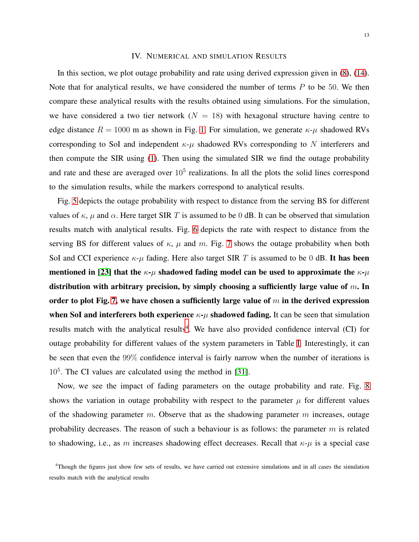#### IV. NUMERICAL AND SIMULATION RESULTS

In this section, we plot outage probability and rate using derived expression given in [\(8\)](#page-7-0), [\(14\)](#page-11-0). Note that for analytical results, we have considered the number of terms  $P$  to be 50. We then compare these analytical results with the results obtained using simulations. For the simulation, we have considered a two tier network ( $N = 18$ ) with hexagonal structure having centre to edge distance  $R = 1000$  m as shown in Fig. [1.](#page-5-0) For simulation, we generate  $\kappa$ - $\mu$  shadowed RVs corresponding to SoI and independent  $\kappa-\mu$  shadowed RVs corresponding to N interferers and then compute the SIR using [\(1\)](#page-4-1). Then using the simulated SIR we find the outage probability and rate and these are averaged over  $10<sup>5</sup>$  realizations. In all the plots the solid lines correspond to the simulation results, while the markers correspond to analytical results.

Fig. [5](#page-14-0) depicts the outage probability with respect to distance from the serving BS for different values of  $\kappa$ ,  $\mu$  and  $\alpha$ . Here target SIR T is assumed to be 0 dB. It can be observed that simulation results match with analytical results. Fig. [6](#page-15-0) depicts the rate with respect to distance from the serving BS for different values of  $\kappa$ ,  $\mu$  and m. Fig. [7](#page-15-1) shows the outage probability when both SoI and CCI experience  $\kappa-\mu$  fading. Here also target SIR T is assumed to be 0 dB. It has been mentioned in [\[23\]](#page-29-0) that the  $\kappa$ - $\mu$  shadowed fading model can be used to approximate the  $\kappa$ - $\mu$ distribution with arbitrary precision, by simply choosing a sufficiently large value of  $m$ . In order to plot Fig. [7,](#page-15-1) we have chosen a sufficiently large value of  $m$  in the derived expression when SoI and interferers both experience  $\kappa$ - $\mu$  shadowed fading. It can be seen that simulation results match with the analytical results<sup>[4](#page-12-0)</sup>. We have also provided confidence interval (CI) for outage probability for different values of the system parameters in Table [I.](#page-13-0) Interestingly, it can be seen that even the 99% confidence interval is fairly narrow when the number of iterations is 10<sup>5</sup>. The CI values are calculated using the method in [\[31\]](#page-29-7).

Now, we see the impact of fading parameters on the outage probability and rate. Fig. [8](#page-16-0) shows the variation in outage probability with respect to the parameter  $\mu$  for different values of the shadowing parameter m. Observe that as the shadowing parameter m increases, outage probability decreases. The reason of such a behaviour is as follows: the parameter  $m$  is related to shadowing, i.e., as m increases shadowing effect decreases. Recall that  $\kappa$ - $\mu$  is a special case

<span id="page-12-0"></span><sup>4</sup>Though the figures just show few sets of results, we have carried out extensive simulations and in all cases the simulation results match with the analytical results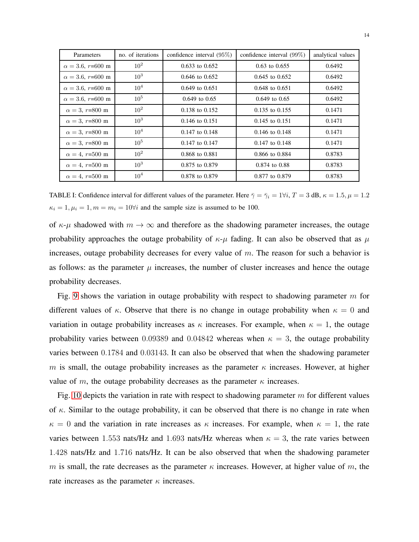<span id="page-13-0"></span>

| Parameters                | no. of iterations | confidence interval $(95\%)$ | confidence interval $(99\%)$ | analytical values |
|---------------------------|-------------------|------------------------------|------------------------------|-------------------|
| $\alpha = 3.6, r = 600$ m | $10^2$            | $0.633$ to $0.652$           | $0.63$ to $0.655$            | 0.6492            |
| $\alpha = 3.6, r = 600$ m | $10^3$            | $0.646$ to $0.652$           | $0.645$ to $0.652$           | 0.6492            |
| $\alpha = 3.6, r = 600$ m | 10 <sup>4</sup>   | $0.649$ to $0.651$           | $0.648$ to $0.651$           | 0.6492            |
| $\alpha = 3.6, r = 600$ m | $10^5$            | $0.649$ to $0.65$            | $0.649$ to $0.65$            | 0.6492            |
| $\alpha = 3, r = 800$ m   | 10 <sup>2</sup>   | 0.138 to 0.152               | $0.135$ to $0.155$           | 0.1471            |
| $\alpha = 3, r = 800$ m   | 10 <sup>3</sup>   | $0.146$ to $0.151$           | $0.145$ to $0.151$           | 0.1471            |
| $\alpha = 3, r = 800$ m   | $10^{4}$          | $0.147$ to $0.148$           | $0.146$ to $0.148$           | 0.1471            |
| $\alpha = 3, r = 800$ m   | $10^{5}$          | $0.147$ to $0.147$           | $0.147$ to $0.148$           | 0.1471            |
| $\alpha = 4$ , r=500 m    | 10 <sup>2</sup>   | 0.868 to 0.881               | $0.866$ to $0.884$           | 0.8783            |
| $\alpha = 4$ , r=500 m    | 10 <sup>3</sup>   | $0.875$ to $0.879$           | $0.874$ to $0.88$            | 0.8783            |
| $\alpha = 4, r = 500$ m   | $10^4$            | 0.878 to 0.879               | 0.877 to 0.879               | 0.8783            |

TABLE I: Confidence interval for different values of the parameter. Here  $\bar{\gamma} = \bar{\gamma}_i = 1 \forall i, T = 3$  dB,  $\kappa = 1.5, \mu = 1.2$  $\kappa_i = 1, \mu_i = 1, m = m_i = 10\forall i$  and the sample size is assumed to be 100.

of  $\kappa$ - $\mu$  shadowed with  $m \to \infty$  and therefore as the shadowing parameter increases, the outage probability approaches the outage probability of  $\kappa$ - $\mu$  fading. It can also be observed that as  $\mu$ increases, outage probability decreases for every value of  $m$ . The reason for such a behavior is as follows: as the parameter  $\mu$  increases, the number of cluster increases and hence the outage probability decreases.

Fig. [9](#page-16-1) shows the variation in outage probability with respect to shadowing parameter  $m$  for different values of  $\kappa$ . Observe that there is no change in outage probability when  $\kappa = 0$  and variation in outage probability increases as  $\kappa$  increases. For example, when  $\kappa = 1$ , the outage probability varies between 0.09389 and 0.04842 whereas when  $\kappa = 3$ , the outage probability varies between 0.1784 and 0.03143. It can also be observed that when the shadowing parameter m is small, the outage probability increases as the parameter  $\kappa$  increases. However, at higher value of m, the outage probability decreases as the parameter  $\kappa$  increases.

Fig. [10](#page-17-0) depicts the variation in rate with respect to shadowing parameter  $m$  for different values of  $\kappa$ . Similar to the outage probability, it can be observed that there is no change in rate when  $\kappa = 0$  and the variation in rate increases as  $\kappa$  increases. For example, when  $\kappa = 1$ , the rate varies between 1.553 nats/Hz and 1.693 nats/Hz whereas when  $\kappa = 3$ , the rate varies between 1.428 nats/Hz and 1.716 nats/Hz. It can be also observed that when the shadowing parameter m is small, the rate decreases as the parameter  $\kappa$  increases. However, at higher value of m, the rate increases as the parameter  $\kappa$  increases.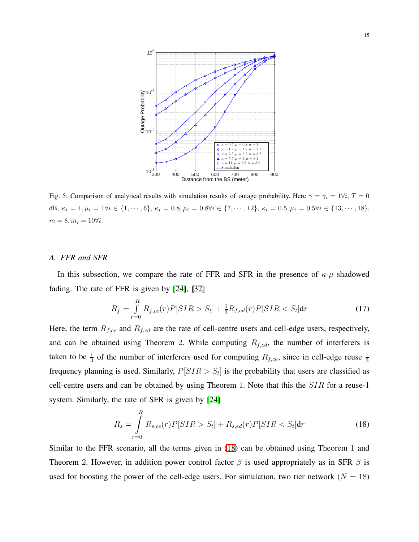<span id="page-14-0"></span>

Fig. 5: Comparison of analytical results with simulation results of outage probability. Here  $\bar{\gamma} = \bar{\gamma}_i = 1 \forall i$ ,  $T = 0$ dB,  $\kappa_i = 1, \mu_i = 1 \forall i \in \{1, \cdots, 6\}, \ \kappa_i = 0.8, \mu_i = 0.8 \forall i \in \{7, \cdots, 12\}, \ \kappa_i = 0.5, \mu_i = 0.5 \forall i \in \{13, \cdots, 18\},\$  $m = 8, m_i = 10\forall i.$ 

#### *A. FFR and SFR*

In this subsection, we compare the rate of FFR and SFR in the presence of  $\kappa$ - $\mu$  shadowed fading. The rate of FFR is given by [\[24\]](#page-29-1), [\[32\]](#page-29-8)

<span id="page-14-2"></span>
$$
R_f = \int_{r=0}^{R} R_{f,ce}(r) P[SIR > S_t] + \frac{1}{3} R_{f,ed}(r) P[SIR < S_t] \text{d}r
$$
\n(17)

Here, the term  $R_{f,ce}$  and  $R_{f,ed}$  are the rate of cell-centre users and cell-edge users, respectively, and can be obtained using Theorem 2. While computing  $R_{f,ed}$ , the number of interferers is taken to be  $\frac{1}{3}$  of the number of interferers used for computing  $R_{f,ce}$ , since in cell-edge reuse  $\frac{1}{3}$ frequency planning is used. Similarly,  $P[SIR > S_t]$  is the probability that users are classified as cell-centre users and can be obtained by using Theorem 1. Note that this the SIR for a reuse-1 system. Similarly, the rate of SFR is given by [\[24\]](#page-29-1)

<span id="page-14-1"></span>
$$
R_s = \int_{r=0}^{R} R_{s,ce}(r) P[SIR > S_t] + R_{s,ed}(r) P[SIR < S_t] \text{d}r
$$
 (18)

Similar to the FFR scenario, all the terms given in [\(18\)](#page-14-1) can be obtained using Theorem 1 and Theorem 2. However, in addition power control factor  $\beta$  is used appropriately as in SFR  $\beta$  is used for boosting the power of the cell-edge users. For simulation, two tier network ( $N = 18$ )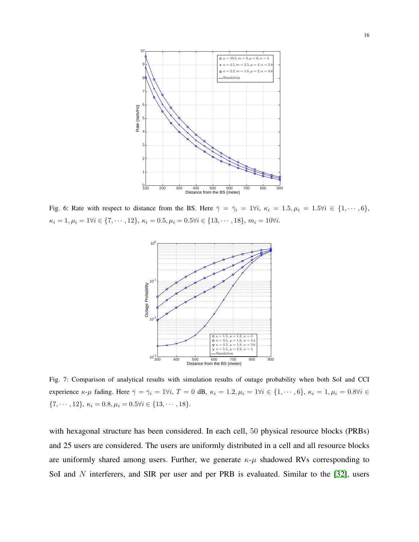<span id="page-15-0"></span>

<span id="page-15-1"></span>Fig. 6: Rate with respect to distance from the BS. Here  $\overline{\gamma} = \overline{\gamma}_i = 1 \forall i$ ,  $\kappa_i = 1.5, \mu_i = 1.5 \forall i \in \{1, \dots, 6\}$ ,  $\kappa_i = 1, \mu_i = 1 \forall i \in \{7, \cdots, 12\}, \, \kappa_i = 0.5, \mu_i = 0.5 \forall i \in \{13, \cdots, 18\}, \, m_i = 10 \forall i.$ 



Fig. 7: Comparison of analytical results with simulation results of outage probability when both SoI and CCI experience  $\kappa$ - $\mu$  fading. Here  $\bar{\gamma} = \bar{\gamma}_i = 1 \forall i$ ,  $T = 0$  dB,  $\kappa_i = 1.2$ ,  $\mu_i = 1 \forall i \in \{1, \cdots, 6\}$ ,  $\kappa_i = 1$ ,  $\mu_i = 0.8 \forall i \in$  $\{7, \cdots, 12\}, \kappa_i = 0.8, \mu_i = 0.5 \forall i \in \{13, \cdots, 18\}.$ 

with hexagonal structure has been considered. In each cell, 50 physical resource blocks (PRBs) and 25 users are considered. The users are uniformly distributed in a cell and all resource blocks are uniformly shared among users. Further, we generate  $\kappa$ - $\mu$  shadowed RVs corresponding to SoI and N interferers, and SIR per user and per PRB is evaluated. Similar to the [\[32\]](#page-29-8), users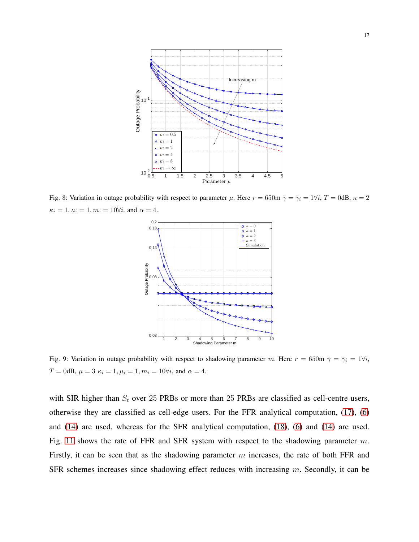<span id="page-16-0"></span>

<span id="page-16-1"></span>Fig. 8: Variation in outage probability with respect to parameter  $\mu$ . Here  $r = 650$ m  $\bar{\gamma} = \bar{\gamma}_i = 1 \forall i$ ,  $T = 0$ dB,  $\kappa = 2$  $\kappa_i = 1$ ,  $\mu_i = 1$ ,  $m_i = 10\forall i$ , and  $\alpha = 4$ .



Fig. 9: Variation in outage probability with respect to shadowing parameter m. Here  $r = 650$ m  $\bar{\gamma} = \bar{\gamma}_i = 1 \forall i$ ,  $T = 0$ dB,  $\mu = 3 \kappa_i = 1, \mu_i = 1, m_i = 10 \forall i$ , and  $\alpha = 4$ .

with SIR higher than  $S_t$  over 25 PRBs or more than 25 PRBs are classified as cell-centre users, otherwise they are classified as cell-edge users. For the FFR analytical computation, [\(17\)](#page-14-2), [\(6\)](#page-7-2) and [\(14\)](#page-11-0) are used, whereas for the SFR analytical computation, [\(18\)](#page-14-1), [\(6\)](#page-7-2) and [\(14\)](#page-11-0) are used. Fig. [11](#page-18-1) shows the rate of FFR and SFR system with respect to the shadowing parameter  $m$ . Firstly, it can be seen that as the shadowing parameter  $m$  increases, the rate of both FFR and SFR schemes increases since shadowing effect reduces with increasing  $m$ . Secondly, it can be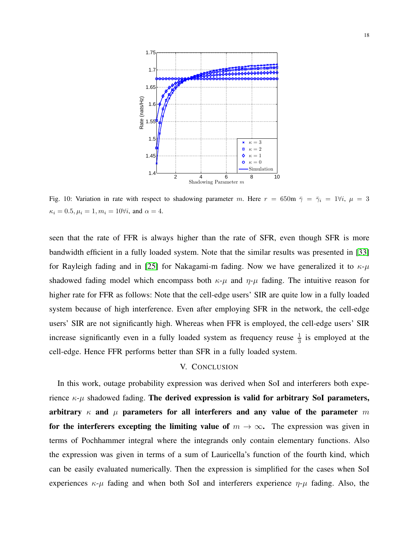<span id="page-17-0"></span>

Fig. 10: Variation in rate with respect to shadowing parameter m. Here  $r = 650$ m  $\bar{\gamma} = \bar{\gamma}_i = 1 \forall i, \ \mu = 3$  $\kappa_i = 0.5, \mu_i = 1, m_i = 10\forall i$ , and  $\alpha = 4$ .

seen that the rate of FFR is always higher than the rate of SFR, even though SFR is more bandwidth efficient in a fully loaded system. Note that the similar results was presented in [\[33\]](#page-29-9) for Rayleigh fading and in [\[25\]](#page-29-3) for Nakagami-m fading. Now we have generalized it to  $\kappa$ - $\mu$ shadowed fading model which encompass both  $\kappa-\mu$  and  $\eta-\mu$  fading. The intuitive reason for higher rate for FFR as follows: Note that the cell-edge users' SIR are quite low in a fully loaded system because of high interference. Even after employing SFR in the network, the cell-edge users' SIR are not significantly high. Whereas when FFR is employed, the cell-edge users' SIR increase significantly even in a fully loaded system as frequency reuse  $\frac{1}{3}$  is employed at the cell-edge. Hence FFR performs better than SFR in a fully loaded system.

## V. CONCLUSION

In this work, outage probability expression was derived when SoI and interferers both experience  $\kappa$ - $\mu$  shadowed fading. The derived expression is valid for arbitrary SoI parameters, arbitrary  $\kappa$  and  $\mu$  parameters for all interferers and any value of the parameter m for the interferers excepting the limiting value of  $m \to \infty$ . The expression was given in terms of Pochhammer integral where the integrands only contain elementary functions. Also the expression was given in terms of a sum of Lauricella's function of the fourth kind, which can be easily evaluated numerically. Then the expression is simplified for the cases when SoI experiences  $\kappa-\mu$  fading and when both SoI and interferers experience  $\eta-\mu$  fading. Also, the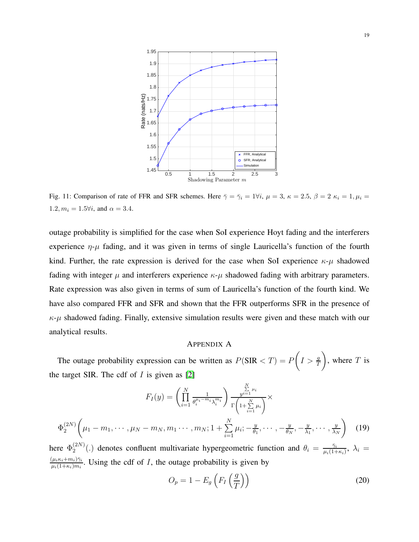<span id="page-18-1"></span>

Fig. 11: Comparison of rate of FFR and SFR schemes. Here  $\bar{\gamma} = \bar{\gamma}_i = 1 \forall i, \mu = 3, \kappa = 2.5, \beta = 2 \kappa_i = 1, \mu_i = 1$  $1.2, m_i = 1.5 \forall i$ , and  $\alpha = 3.4$ .

outage probability is simplified for the case when SoI experience Hoyt fading and the interferers experience  $\eta$ - $\mu$  fading, and it was given in terms of single Lauricella's function of the fourth kind. Further, the rate expression is derived for the case when SoI experience  $\kappa$ - $\mu$  shadowed fading with integer  $\mu$  and interferers experience  $\kappa-\mu$  shadowed fading with arbitrary parameters. Rate expression was also given in terms of sum of Lauricella's function of the fourth kind. We have also compared FFR and SFR and shown that the FFR outperforms SFR in the presence of  $\kappa$ - $\mu$  shadowed fading. Finally, extensive simulation results were given and these match with our analytical results.

## <span id="page-18-0"></span>APPENDIX A

The outage probability expression can be written as  $P(SIR < T) = P\left(I > \frac{g}{T}\right)$ ), where  $T$  is the target SIR. The cdf of  $I$  is given as  $[2]$ 

$$
F_I(y) = \left(\prod_{i=1}^N \frac{1}{\theta_i^{\mu_i - m_i} \lambda_i^{m_i}}\right) \frac{\sum_{j=1}^N \mu_i}{\Gamma\left(1 + \sum_{i=1}^N \mu_i\right)} \times \Phi_2^{(2N)}\left(\mu_1 - m_1, \cdots, \mu_N - m_N, m_1 \cdots, m_N; 1 + \sum_{i=1}^N \mu_i; -\frac{y}{\theta_1}, \cdots, -\frac{y}{\theta_N}, -\frac{y}{\lambda_1}, \cdots, \frac{y}{\lambda_N}\right)
$$
(19)

here  $\Phi_2^{(2N)}$  $\binom{(2N)}{2}$ .) denotes confluent multivariate hypergeometric function and  $\theta_i = \frac{\bar{\gamma}_i}{\mu_i(1+i)}$  $\frac{\gamma_i}{\mu_i(1+\kappa_i)},\;\lambda_i\,=\,$  $(\mu_i \kappa_i+m_i)\bar{\gamma}_i$  $\frac{\mu_i \kappa_i + m_i \gamma_i}{\mu_i (1 + \kappa_i) m_i}$ . Using the cdf of *I*, the outage probability is given by

$$
O_p = 1 - E_g \left( F_I \left( \frac{g}{T} \right) \right) \tag{20}
$$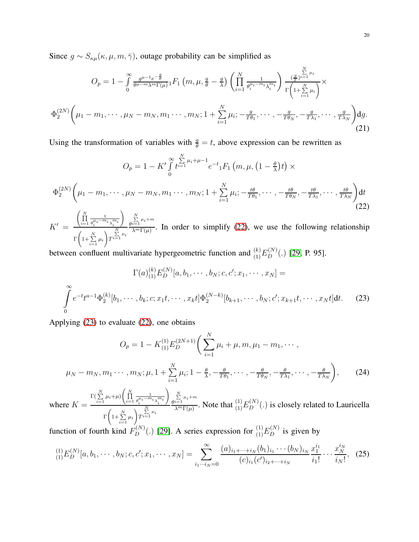Since  $g \sim S_{\kappa\mu}(\kappa, \mu, m, \bar{\gamma})$ , outage probability can be simplified as

$$
O_p = 1 - \int_0^{\infty} \frac{g^{\mu - 1} e^{-\frac{g}{\theta}}}{\theta^{\mu - m} \lambda^m \Gamma(\mu)} \cdot F_1 \left( m, \mu, \frac{g}{\theta} - \frac{g}{\lambda} \right) \left( \prod_{i=1}^N \frac{1}{\theta_i^{\mu_i - m_i} \lambda_i^{m_i}} \right) \frac{\left( \frac{g}{T} \right)^{\sum\limits_{i=1}^N \mu_i}}{\Gamma \left( 1 + \sum\limits_{i=1}^N \mu_i \right)} \times
$$
  

$$
\Phi_2^{(2N)} \left( \mu_1 - m_1, \cdots, \mu_N - m_N, m_1 \cdots, m_N; 1 + \sum\limits_{i=1}^N \mu_i; -\frac{g}{T\theta_1}, \cdots, -\frac{g}{T\theta_N}, -\frac{g}{T\lambda_1}, \cdots, \frac{g}{T\lambda_N} \right) dg.
$$
  
(21)

Using the transformation of variables with  $\frac{g}{\theta} = t$ , above expression can be rewritten as

<span id="page-19-1"></span>
$$
O_p = 1 - K' \int_0^\infty t^{\sum_{i=1}^N \mu_i + \mu - 1} e^{-t} {}_1F_1(m, \mu, \left(1 - \frac{\theta}{\lambda}\right)t) \times
$$
  

$$
\Phi_2^{(2N)}\left(\mu_1 - m_1, \cdots, \mu_N - m_N, m_1 \cdots, m_N; 1 + \sum_{i=1}^N \mu_i; -\frac{t\theta}{T\theta_1}, \cdots, -\frac{t\theta}{T\theta_N}, -\frac{t\theta}{T\lambda_1}, \cdots, \frac{t\theta}{T\lambda_N}\right) dt
$$
  

$$
K' = \left(\prod_{i=1}^N \frac{1}{\theta_i^{\mu_i - m_i} \lambda_i^{m_i}}\right) \sum_{\theta_i=1}^N \mu_i + m
$$
 In order to simplify (22) we use the following relationship

 $K' =$  $\Gamma\left(1+\sum\limits_{i=1}^{N}\mu_{i}\right)T$  $\sum_{i=1}^N \mu_i$ θ  $\frac{\lambda^{n} \bar{z}^{n}}{\lambda^{m} \Gamma(\mu)}$ . In order to simplify [\(22\)](#page-19-1), we use the following relationship

between confluent multivariate hypergeometric function and  $\binom{k}{1} E_D^{(N)}(.)$  [\[29,](#page-29-5) P. 95].

<span id="page-19-2"></span>
$$
\Gamma(a)_{(1)}^{(k)} E_D^{(N)}[a, b_1, \cdots, b_N; c, c'; x_1, \cdots, x_N] =
$$
  

$$
\int_0^\infty e^{-t} t^{a-1} \Phi_2^{(k)}[b_1, \cdots, b_k; c; x_1 t, \cdots, x_k t] \Phi_2^{(N-k)}[b_{k+1}, \cdots, b_N; c'; x_{k+1} t, \cdots, x_N t] dt.
$$
 (23)

Applying [\(23\)](#page-19-2) to evaluate [\(22\)](#page-19-1), one obtains

$$
O_p = 1 - K_{(1)}^{(1)} E_D^{(2N+1)} \bigg( \sum_{i=1}^N \mu_i + \mu, m, \mu_1 - m_1, \cdots,
$$
  

$$
\mu_N - m_N, m_1 \cdots, m_N; \mu, 1 + \sum_{i=1}^N \mu_i; 1 - \frac{\theta}{\lambda}, -\frac{\theta}{T\theta_1}, \cdots, -\frac{\theta}{T\theta_N}, -\frac{\theta}{T\lambda_1}, \cdots, -\frac{\theta}{T\lambda_N} \bigg),
$$
 (24)

<span id="page-19-3"></span>where  $K =$  $\Gamma(\sum_{i=1}^N \mu_i + \mu) \Bigg(\prod_{i=1}^N$ 1  $\theta_i^{\mu_i-m_i} \lambda_i^{m_i}$  $\setminus$  $\Gamma\left(1+\sum\limits_{i=1}^{N}\mu_{i}\right)T$  $\sum_{i=1}^N \mu_i$  $\theta$  $\sum_{i=1}^N \mu_i + m$  $\frac{\partial^2 H}{\partial x^m \Gamma(\mu)}$ . Note that  $\binom{1}{1} E_D^{(N)}(.)$  is closely related to Lauricella

function of fourth kind  $F_D^{(N)}(.)$  [\[29\]](#page-29-5). A series expression for  ${}_{(1)}^{(1)}E_D^{(N)}$  is given by

<span id="page-19-0"></span>
$$
{}_{(1)}^{(1)}E_D^{(N)}[a, b_1, \cdots, b_N; c, c'; x_1, \cdots, x_N] = \sum_{i_1 \cdots i_N = 0}^{\infty} \frac{(a)_{i_1 + \cdots + i_N} (b_1)_{i_1} \cdots (b_N)_{i_N}}{(c)_{i_1} (c')_{i_2 + \cdots + i_N}} \frac{x_1^{i_1}}{i_1!} \cdots \frac{x_N^{i_N}}{i_N!}, \quad (25)
$$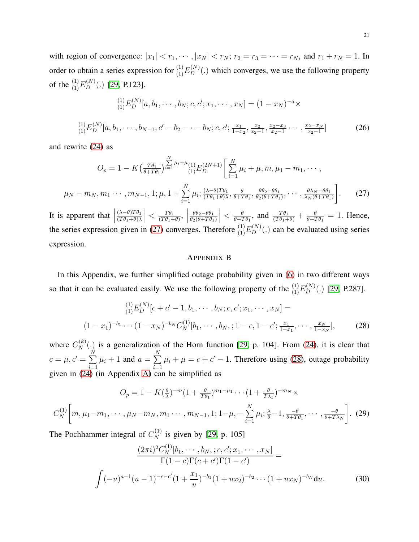with region of convergence:  $|x_1| < r_1, \cdots, |x_N| < r_N$ ;  $r_2 = r_3 = \cdots = r_N$ , and  $r_1 + r_N = 1$ . In order to obtain a series expression for  $\binom{1}{1} E_D^{(N)}(.)$  which converges, we use the following property of the  ${}^{(1)}_{(1)}E_D^{(N)}(.)$  [\[29,](#page-29-5) P.123].

$$
\begin{aligned}\n\binom{1}{1} E_D^{(N)}[a, b_1, \cdots, b_N; c, c'; x_1, \cdots, x_N] &= (1 - x_N)^{-a} \times \\
\binom{1}{1} E_D^{(N)}[a, b_1, \cdots, b_{N-1}, c' - b_2 - \cdots - b_N; c, c'; \frac{x_1}{1 - x_2}, \frac{x_2}{x_2 - 1}, \frac{x_2 - x_3}{x_2 - 1}, \cdots, \frac{x_2 - x_N}{x_2 - 1}\n\end{aligned}\n\tag{26}
$$

and rewrite [\(24\)](#page-19-3) as

<span id="page-20-1"></span>
$$
O_p = 1 - K \left(\frac{T\theta_1}{\theta + T\theta_1}\right)^{\sum_{i=1}^{N} \mu_i + \mu_{(1)}}_{(1)} E_D^{(2N+1)} \left[\sum_{i=1}^{N} \mu_i + \mu, m, \mu_1 - m_1, \cdots, \mu_N - m_N, m_1 \cdots, m_{N-1}, 1; \mu, 1 + \sum_{i=1}^{N} \mu_i; \frac{(\lambda - \theta)T\theta_1}{(T\theta_1 + \theta)\lambda}, \frac{\theta}{\theta + T\theta_1}, \frac{\theta\theta_2 - \theta\theta_1}{\theta_2(\theta + T\theta_1)}, \cdots, \frac{\theta\lambda_N - \theta\theta_1}{\lambda_N(\theta + T\theta_1)}\right].
$$
 (27)

It is apparent that  $\vert$  $\frac{(\lambda-\theta)T\theta_1}{(T\theta_1+\theta)\lambda}$  $\begin{array}{c} \begin{array}{c} \begin{array}{c} \end{array}\\ \begin{array}{c} \end{array} \end{array} \end{array}$  $\langle \frac{T\theta_1}{T\theta_1+}$  $\frac{T\theta_1}{(T\theta_1+\theta)},$  $\frac{\theta \theta _{2}-\theta \theta _{1}}{\theta _{2}(\theta +T\theta _{1})}$  $\begin{array}{c} \begin{array}{c} \begin{array}{c} \end{array}\\ \begin{array}{c} \end{array} \end{array} \end{array}$  $< \frac{\theta}{\theta+1}$  $\frac{\theta}{\theta+T\theta_1}$ , and  $\frac{T\theta_1}{(T\theta_1+\theta)}+\frac{\theta}{\theta+T}$  $\frac{\theta}{\theta+T\theta_1} = 1$ . Hence, the series expression given in [\(27\)](#page-20-1) converges. Therefore  ${}^{(1)}_{(1)}E_D^{(N)}(.)$  can be evaluated using series expression.

#### <span id="page-20-0"></span>APPENDIX B

In this Appendix, we further simplified outage probability given in [\(6\)](#page-7-2) in two different ways so that it can be evaluated easily. We use the following property of the  $\binom{1}{1} E_D^{(N)}(.)$  [\[29,](#page-29-5) P.287].

<span id="page-20-2"></span>
$$
\begin{aligned} \binom{1}{1} E_D^{(N)} \left[c + c' - 1, b_1, \cdots, b_N; c, c'; x_1, \cdots, x_N\right] &= \\ \left(1 - x_1\right)^{-b_1} \cdots \left(1 - x_N\right)^{-b_N} C_N^{(1)} \left[b_1, \cdots, b_N; 1 - c, 1 - c'; \frac{x_1}{1 - x_1}, \cdots, \frac{x_N}{1 - x_N}\right], \end{aligned} \tag{28}
$$

where  $C_N^{(k)}(.)$  is a generalization of the Horn function [\[29,](#page-29-5) p. 104]. From [\(24\)](#page-19-3), it is clear that  $c=\mu, c'=\sum$ N  $i=1$  $\mu_i + 1$  and  $a = \sum$ N  $i=1$  $\mu_i + \mu = c + c' - 1$ . Therefore using [\(28\)](#page-20-2), outage probability given in [\(24\)](#page-19-3) (in Appendix [A\)](#page-18-0) can be simplified as

$$
O_p = 1 - K\left(\frac{\theta}{\lambda}\right)^{-m} \left(1 + \frac{\theta}{T\theta_1}\right)^{m_1 - \mu_1} \cdots \left(1 + \frac{\theta}{T\lambda_1}\right)^{-m_N} \times
$$
  

$$
C_N^{(1)} \left[m, \mu_1 - m_1, \cdots, \mu_N - m_N, m_1 \cdots, m_{N-1}, 1; 1 - \mu, -\sum_{i=1}^N \mu_i; \frac{\lambda}{\theta} - 1, \frac{-\theta}{\theta + T\theta_1}, \cdots, \frac{-\theta}{\theta + T\lambda_N}\right].
$$
 (29)

The Pochhammer integral of  $C_N^{(1)}$  is given by [\[29,](#page-29-5) p. 105]

$$
\frac{(2\pi i)^2 C_N^{(1)}[b_1, \cdots, b_N, ; c, c'; x_1, \cdots, x_N]}{\Gamma(1-c)\Gamma(c+c')\Gamma(1-c')} =
$$
\n
$$
\int (-u)^{a-1} (u-1)^{-c-c'} (1+\frac{x_1}{u})^{-b_1} (1+ux_2)^{-b_2} \cdots (1+ux_N)^{-b_N} du.
$$
\n(30)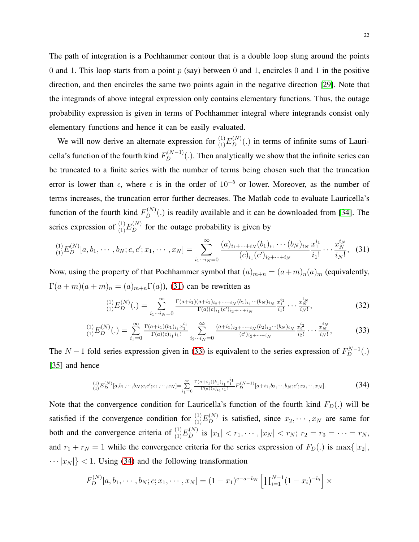The path of integration is a Pochhammer contour that is a double loop slung around the points 0 and 1. This loop starts from a point  $p$  (say) between 0 and 1, encircles 0 and 1 in the positive direction, and then encircles the same two points again in the negative direction [\[29\]](#page-29-5). Note that the integrands of above integral expression only contains elementary functions. Thus, the outage probability expression is given in terms of Pochhammer integral where integrands consist only elementary functions and hence it can be easily evaluated.

We will now derive an alternate expression for  $\binom{1}{1} E_D^{(N)}(.)$  in terms of infinite sums of Lauricella's function of the fourth kind  $F_D^{(N-1)}(.)$ . Then analytically we show that the infinite series can be truncated to a finite series with the number of terms being chosen such that the truncation error is lower than  $\epsilon$ , where  $\epsilon$  is in the order of 10<sup>-5</sup> or lower. Moreover, as the number of terms increases, the truncation error further decreases. The Matlab code to evaluate Lauricella's function of the fourth kind  $F_D^{(N)}(.)$  is readily available and it can be downloaded from [\[34\]](#page-29-10). The series expression of  $_{(1)}^{(1)}E_D^{(N)}$  for the outage probability is given by

<span id="page-21-0"></span>
$$
{}_{(1)}^{(1)}E_D^{(N)}[a, b_1, \cdots, b_N; c, c'; x_1, \cdots, x_N] = \sum_{i_1 \cdots i_N = 0}^{\infty} \frac{(a)_{i_1 + \cdots + i_N} (b_1)_{i_1} \cdots (b_N)_{i_N}}{(c)_{i_1} (c')_{i_2 + \cdots + i_N}} \frac{x_1^{i_1}}{i_1!} \cdots \frac{x_N^{i_N}}{i_N!}, \quad (31)
$$

Now, using the property of that Pochhammer symbol that  $(a)_{m+n} = (a+m)_n(a)_m$  (equivalently,  $\Gamma(a+m)(a+m)_n = (a)_{m+n}\Gamma(a)$ , [\(31\)](#page-21-0) can be rewritten as

$$
{}_{(1)}^{(1)}E_D^{(N)}(.) = \sum_{i_1\cdots i_N=0}^{\infty} \frac{\Gamma(a+i_1)(a+i_1)_{i_2+\cdots+i_N}(b_1)_{i_1}\cdots(b_N)_{i_N}}{\Gamma(a)(c)_{i_1}(c')_{i_2+\cdots+i_N}} \frac{x_1^{i_1}}{i_1!} \cdots \frac{x_N^{i_N}}{i_N!},
$$
\n(32)

<span id="page-21-1"></span>
$$
{}_{(1)}^{(1)}E_D^{(N)}(.) = \sum_{i_1=0}^{\infty} \frac{\Gamma(a+i_1)(b_1)_{i_1}x_1^{i_1}}{\Gamma(a)(c)_{i_1}i_1!} \sum_{i_2\cdots i_N=0}^{\infty} \frac{(a+i_1)_{i_2+\cdots+i_N}(b_2)_{i_2}\cdots(b_N)_{i_N}}{(c')_{i_2+\cdots+i_N}} \frac{x_2^{i_2}}{i_2!} \cdots \frac{x_N^{i_N}}{i_N!},
$$
(33)

The  $N-1$  fold series expression given in [\(33\)](#page-21-1) is equivalent to the series expression of  $F_D^{N-1}(.)$ [\[35\]](#page-29-11) and hence

<span id="page-21-2"></span>
$$
{}^{(1)}_{(1)}E_D^{(N)}[a,b_1,\cdots,b_N;c,c';x_1,\cdots,x_N] = \sum_{i_1=0}^{\infty} \frac{\Gamma(a+i_1)(b_1)_{i_1}x_1^{i_1}}{\Gamma(a)(c)_{i_1}i_1!} F_D^{(N-1)}[a+i_1,b_2,\cdots,b_N;c';x_2,\cdots,x_N].
$$
\n(34)

Note that the convergence condition for Lauricella's function of the fourth kind  $F_D(.)$  will be satisfied if the convergence condition for  $\binom{1}{1} E_D^{(N)}$  is satisfied, since  $x_2, \dots, x_N$  are same for both and the convergence criteria of  $\binom{1}{1} E_D^{(N)}$  is  $|x_1| < r_1, \cdots, |x_N| < r_N$ ;  $r_2 = r_3 = \cdots = r_N$ , and  $r_1 + r_N = 1$  while the convergence criteria for the series expression of  $F_D(.)$  is max $\{|x_2|,$  $\cdots |x_N|$  < 1. Using [\(34\)](#page-21-2) and the following transformation

$$
F_D^{(N)}[a, b_1, \cdots, b_N; c; x_1, \cdots, x_N] = (1 - x_1)^{c - a - b_N} \left[ \prod_{i=1}^{N-1} (1 - x_i)^{-b_i} \right] \times
$$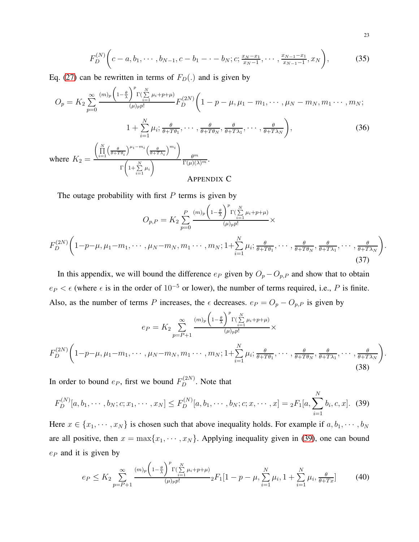$$
F_D^{(N)}\bigg(c-a, b_1, \cdots, b_{N-1}, c-b_1-\cdots-b_N; c; \frac{x_N-x_1}{x_N-1}, \cdots, \frac{x_{N-1}-x_1}{x_{N-1}-1}, x_N\bigg),\tag{35}
$$

Eq. [\(27\)](#page-20-1) can be rewritten in terms of  $F_D(.)$  and is given by

$$
O_p = K_2 \sum_{p=0}^{\infty} \frac{(m)_p \left(1 - \frac{\theta}{\lambda}\right)^p \Gamma(\sum_{i=1}^N \mu_i + p + \mu)}{(\mu)_{p} p!} F_D^{(2N)} \left(1 - p - \mu, \mu_1 - m_1, \cdots, \mu_N - m_N, m_1 \cdots, m_N; \frac{1 + \sum_{i=1}^N \mu_i; \frac{\theta}{\theta + T\theta_1}, \cdots, \frac{\theta}{\theta + T\theta_N}, \frac{\theta}{\theta + T\lambda_1}, \cdots, \frac{\theta}{\theta + T\lambda_N}\right),
$$
\n
$$
\text{where } K_2 = \frac{\left(\prod_{i=1}^N \left(\frac{\theta}{\theta + T\theta_i}\right)^{\mu_i - m_i} \left(\frac{\theta}{\theta + T\lambda_i}\right)^{m_i}\right)}{\Gamma(\mu) (\lambda)^m} \frac{\theta^m}{\Gamma(\mu) (\lambda)^m}.
$$
\n
$$
\text{APPENDIX } C
$$

<span id="page-22-0"></span>The outage probability with first  $P$  terms is given by

$$
O_{p,P} = K_2 \sum_{p=0}^{P} \frac{(m)_p \left(1 - \frac{\theta}{\lambda}\right)^p \Gamma(\sum_{i=1}^N \mu_i + p + \mu)}{(\mu)_p p!} \times
$$
  

$$
F_D^{(2N)} \left(1 - p - \mu, \mu_1 - m_1, \cdots, \mu_N - m_N, m_1 \cdots, m_N; 1 + \sum_{i=1}^N \mu_i; \frac{\theta}{\theta + T\theta_1}, \cdots, \frac{\theta}{\theta + T\theta_N}, \frac{\theta}{\theta + T\lambda_1}, \cdots, \frac{\theta}{\theta + T\lambda_N}\right)
$$
(37)

In this appendix, we will bound the difference  $e_P$  given by  $O_p - O_{p,P}$  and show that to obtain  $e_P < \epsilon$  (where  $\epsilon$  is in the order of 10<sup>-5</sup> or lower), the number of terms required, i.e., P is finite. Also, as the number of terms P increases, the  $\epsilon$  decreases.  $e_P = O_p - O_{p,P}$  is given by

$$
e_P = K_2 \sum_{p=P+1}^{\infty} \frac{(m)_p \left(1 - \frac{\theta}{\lambda}\right)^p \Gamma(\sum_{i=1}^N \mu_i + p + \mu)}{(\mu)_p p!} \times
$$
  

$$
F_D^{(2N)}\left(1 - p - \mu, \mu_1 - m_1, \cdots, \mu_N - m_N, m_1 \cdots, m_N; 1 + \sum_{i=1}^N \mu_i; \frac{\theta}{\theta + T\theta_1}, \cdots, \frac{\theta}{\theta + T\theta_N}, \frac{\theta}{\theta + T\lambda_1}, \cdots, \frac{\theta}{\theta + T\lambda_N}\right)
$$
(38)

In order to bound  $e_P$ , first we bound  $F_D^{(2N)}$ . Note that

<span id="page-22-1"></span>
$$
F_D^{(N)}[a, b_1, \cdots, b_N; c; x_1, \cdots, x_N] \le F_D^{(N)}[a, b_1, \cdots, b_N; c; x, \cdots, x] = {}_2F_1[a, \sum_{i=1}^N b_i, c, x].
$$
 (39)

Here  $x \in \{x_1, \dots, x_N\}$  is chosen such that above inequality holds. For example if  $a, b_1, \dots, b_N$ are all positive, then  $x = \max\{x_1, \dots, x_N\}$ . Applying inequality given in [\(39\)](#page-22-1), one can bound  $e_P$  and it is given by

<span id="page-22-2"></span>
$$
e_P \le K_2 \sum_{p=P+1}^{\infty} \frac{(m)_p \left(1 - \frac{\theta}{\lambda}\right)^p \Gamma(\sum_{i=1}^N \mu_i + p + \mu)}{(\mu)_p p!} {}_2F_1[1 - p - \mu, \sum_{i=1}^N \mu_i, 1 + \sum_{i=1}^N \mu_i, \frac{\theta}{\theta + Tx}]\tag{40}
$$

.

.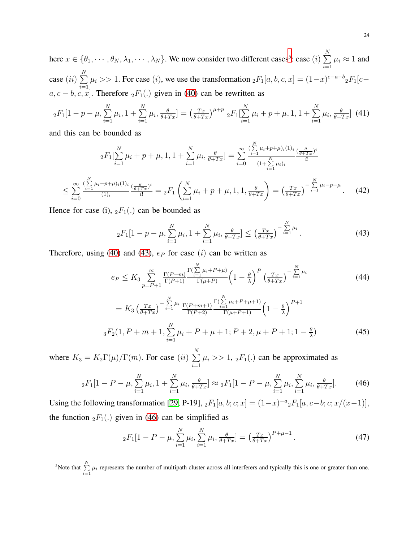here  $x \in \{\theta_1, \dots, \theta_N, \lambda_1, \dots, \lambda_N\}$ . We now consider two different cases<sup>[5](#page-23-0)</sup>: case (i)  $\sum$ N  $i=1$  $\mu_i \approx 1$  and case  $(ii)$   $\sum$ N  $i=1$  $\mu_i >> 1$ . For case (i), we use the transformation  ${}_2F_1[a, b, c, x] = (1-x)^{c-a-b} {}_2F_1[c$  $a, c - b, c, x$ . Therefore  $_2F_1(.)$  given in [\(40\)](#page-22-2) can be rewritten as

$$
{}_2F_1[1-p-\mu,\sum_{i=1}^N\mu_i,1+\sum_{i=1}^N\mu_i,\frac{\theta}{\theta+Tx}] = \left(\frac{Tx}{\theta+Tx}\right)^{\mu+p} {}_2F_1[\sum_{i=1}^N\mu_i+p+\mu,1,1+\sum_{i=1}^N\mu_i,\frac{\theta}{\theta+Tx}] \tag{41}
$$

and this can be bounded as

$$
{}_{2}F_{1}[\sum_{i=1}^{N}\mu_{i}+p+\mu,1,1+\sum_{i=1}^{N}\mu_{i},\frac{\theta}{\theta+Tx}]=\sum_{i=0}^{\infty}\frac{(\sum_{i=1}^{N}\mu_{i}+p+\mu)_{i}(1)_{i}}{(1+\sum_{i=1}^{N}\mu_{i})_{i}}\frac{(\frac{\theta}{\theta+Tx})^{i}}{i!}
$$

$$
\leq \sum_{i=0}^{\infty}\frac{(\sum_{i=1}^{N}\mu_{i}+p+\mu)_{i}(1)_{i}}{(1)_{i}}\frac{(\frac{\theta}{\theta+Tx})^{i}}{i!} = {}_{2}F_{1}\left(\sum_{i=1}^{N}\mu_{i}+p+\mu,1,1,\frac{\theta}{\theta+Tx}\right) = \left(\frac{Tx}{\theta+Tx}\right)^{-\sum_{i=1}^{N}\mu_{i}-p-\mu}.
$$
(42)

Hence for case (i),  $_2F_1(.)$  can be bounded as

<span id="page-23-1"></span>
$$
{}_{2}F_{1}[1-p-\mu,\sum_{i=1}^{N}\mu_{i},1+\sum_{i=1}^{N}\mu_{i},\frac{\theta}{\theta+Tx}] \leq \left(\frac{Tx}{\theta+Tx}\right)^{-\sum_{i=1}^{N}\mu_{i}}.
$$
 (43)

Therefore, using [\(40\)](#page-22-2) and [\(43\)](#page-23-1),  $e_P$  for case (i) can be written as

$$
e_P \le K_3 \sum_{p=P+1}^{\infty} \frac{\Gamma(P+m)}{\Gamma(P+1)} \frac{\Gamma(\sum_{i=1}^{N} \mu_i + P + \mu)}{\Gamma(\mu + P)} \left(1 - \frac{\theta}{\lambda}\right)^P \left(\frac{Tx}{\theta + Tx}\right)^{-\sum_{i=1}^{N} \mu_i} \tag{44}
$$

<span id="page-23-4"></span>
$$
= K_3 \left(\frac{T_x}{\theta + T_x}\right)^{-\sum_{i=1}^{N} \mu_i} \frac{\Gamma(P + m + 1)}{\Gamma(P + 2)} \frac{\Gamma(\sum_{i=1}^{N} \mu_i + P + \mu + 1)}{\Gamma(\mu + P + 1)} \left(1 - \frac{\theta}{\lambda}\right)^{P + 1}
$$
  
3 $F_2(1, P + m + 1, \sum_{i=1}^{N} \mu_i + P + \mu + 1; P + 2, \mu + P + 1; 1 - \frac{\theta}{\lambda})$  (45)

where  $K_3 = K_2 \Gamma(\mu) / \Gamma(m)$ . For case  $(ii)$   $\sum$ N  $i=1$  $\mu_i >> 1$ ,  $_2F_1(.)$  can be approximated as

<span id="page-23-2"></span>
$$
{}_2F_1[1 - P - \mu, \sum_{i=1}^N \mu_i, 1 + \sum_{i=1}^N \mu_i, \frac{\theta}{\theta + Tx}] \approx {}_2F_1[1 - P - \mu, \sum_{i=1}^N \mu_i, \sum_{i=1}^N \mu_i, \frac{\theta}{\theta + Tx}].
$$
 (46)

Using the following transformation [\[29,](#page-29-5) P-19],  $_2F_1[a, b; c; x] = (1-x)^{-a} {}_2F_1[a, c-b; c; x/(x-1)],$ the function  ${}_2F_1(.)$  given in [\(46\)](#page-23-2) can be simplified as

<span id="page-23-3"></span>
$$
{}_{2}F_{1}[1-P-\mu,\sum_{i=1}^{N}\mu_{i},\sum_{i=1}^{N}\mu_{i},\frac{\theta}{\theta+Tx}] = \left(\frac{Tx}{\theta+Tx}\right)^{P+\mu-1}.
$$
 (47)

<span id="page-23-0"></span><sup>5</sup>Note that  $\sum_{i=1}^{N} \mu_i$  represents the number of multipath cluster across all interferers and typically this is one or greater than one.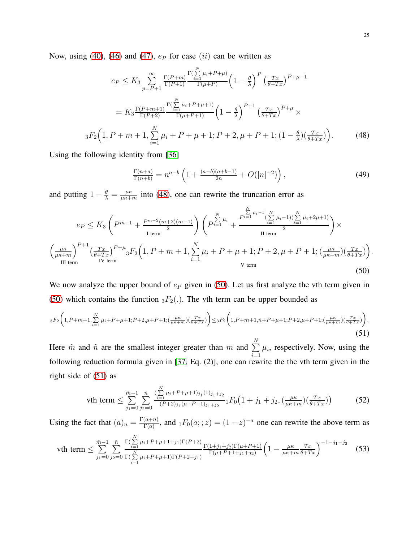Now, using [\(40\)](#page-22-2), [\(46\)](#page-23-2) and [\(47\)](#page-23-3),  $e_P$  for case (ii) can be written as

$$
e_P \le K_3 \sum_{p=P+1}^{\infty} \frac{\Gamma(P+m)}{\Gamma(P+1)} \frac{\Gamma(\sum_{i=1}^{N} \mu_i + P + \mu)}{\Gamma(\mu + P)} \left(1 - \frac{\theta}{\lambda}\right)^P \left(\frac{Tx}{\theta + Tx}\right)^{P+\mu-1}
$$
  
=  $K_3 \frac{\Gamma(P+m+1)}{\Gamma(P+2)} \frac{\Gamma(\sum_{i=1}^{N} \mu_i + P + \mu + 1)}{\Gamma(\mu + P + 1)} \left(1 - \frac{\theta}{\lambda}\right)^{P+1} \left(\frac{Tx}{\theta + Tx}\right)^{P+\mu} \times$   

$$
{}_{3}F_2\left(1, P+m+1, \sum_{i=1}^{N} \mu_i + P + \mu + 1; P+2, \mu + P + 1; (1 - \frac{\theta}{\lambda})(\frac{Tx}{\theta + Tx})\right).
$$
 (48)

<span id="page-24-0"></span>Using the following identity from [\[36\]](#page-29-12)

<span id="page-24-3"></span>
$$
\frac{\Gamma(n+a)}{\Gamma(n+b)} = n^{a-b} \left( 1 + \frac{(a-b)(a+b-1)}{2n} + O(|n|^{-2}) \right),\tag{49}
$$

and putting  $1 - \frac{\theta}{\lambda} = \frac{\mu \kappa}{\mu \kappa + \lambda}$  $\frac{\mu\kappa}{\mu\kappa+m}$  into [\(48\)](#page-24-0), one can rewrite the truncation error as

<span id="page-24-1"></span>
$$
e_P \le K_3 \left( P^{m-1} + \frac{P^{m-2}(m+2)(m-1)}{1 \text{ term }} \right) \left( P^{\sum_{i=1}^{N} \mu_i} + \frac{P^{\sum_{i=1}^{N} \mu_i - 1} (\sum_{i=1}^{N} \mu_i + 2\mu + 1)}{1 \text{ term }} \right) \times
$$
  

$$
\left( \frac{\mu \kappa}{\mu \kappa + m} \right)^{P+1} \left( \frac{Tx}{\theta + Tx} \right)^{P+\mu} {}_3F_2 \left( 1, P + m + 1, \sum_{i=1}^{N} \mu_i + P + \mu + 1; P + 2, \mu + P + 1; \left( \frac{\mu \kappa}{\mu \kappa + m} \right) \left( \frac{Tx}{\theta + Tx} \right) \right).
$$
  
V term  
V term (50)

We now analyze the upper bound of  $e_P$  given in [\(50\)](#page-24-1). Let us first analyze the vth term given in [\(50\)](#page-24-1) which contains the function  ${}_3F_2(.)$ . The vth term can be upper bounded as

<span id="page-24-2"></span>
$$
{}_{3}F_{2}\left(1, P+m+1, \sum_{i=1}^{N} \mu_{i}+P+\mu+1; P+2, \mu+P+1; (\frac{\mu\kappa}{\mu\kappa+m})(\frac{Tx}{\theta+Tx})\right) \leq {}_{3}F_{2}\left(1, P+\tilde{m}+1, \tilde{n}+P+\mu+1; P+2, \mu+P+1; (\frac{\mu\kappa}{\mu\kappa+m})(\frac{Tx}{\theta+Tx})\right).
$$
\n(51)

Here  $\tilde{m}$  and  $\tilde{n}$  are the smallest integer greater than m and  $\Sigma$ N  $i=1$  $\mu_i$ , respectively. Now, using the following reduction formula given in [\[37,](#page-29-13) Eq. (2)], one can rewrite the the vth term given in the right side of [\(51\)](#page-24-2) as

$$
\text{vth term} \leq \sum_{j_1=0}^{\tilde{m}-1} \sum_{j_2=0}^{\tilde{n}} \frac{\left(\sum_{i=1}^N \mu_i + P + \mu + 1\right)_{j_1}(1)_{j_1+j_2}}{(P+2)_{j_1}(\mu + P + 1)_{j_1+j_2}} 1 F_0 \left(1 + j_1 + j_2, \left(\frac{\mu \kappa}{\mu \kappa + m}\right) \left(\frac{Tx}{\theta + Tx}\right)\right) \tag{52}
$$

Using the fact that  $(a)_n = \frac{\Gamma(a+n)}{\Gamma(a)}$  $\frac{(a+n)}{\Gamma(a)}$ , and  $_1F_0(a; z) = (1-z)^{-a}$  one can rewrite the above term as

$$
\text{vth term} \leq \sum_{j_1=0}^{\tilde{m}-1} \sum_{j_2=0}^{\tilde{n}} \frac{\Gamma(\sum_{i=1}^N \mu_i + P + \mu + 1 + j_1)\Gamma(P+2)}{\Gamma(\sum_{i=1}^N \mu_i + P + \mu + 1)\Gamma(P+2 + j_1)} \frac{\Gamma(1+j_1+j_2)\Gamma(\mu + P + 1)}{\Gamma(\mu + P + 1 + j_1 + j_2)} \left(1 - \frac{\mu \kappa}{\mu \kappa + m} \frac{Tx}{\theta + Tx}\right)^{-1-j_1-j_2} \tag{53}
$$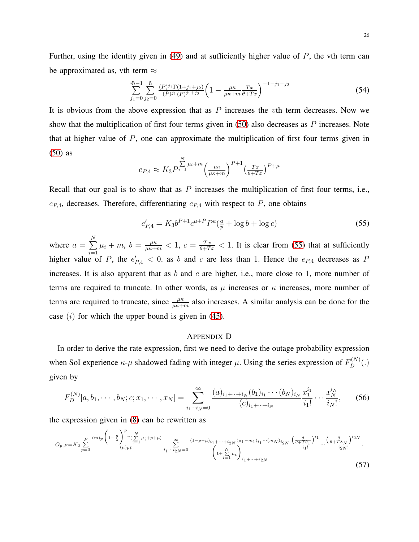Further, using the identity given in  $(49)$  and at sufficiently higher value of  $P$ , the vth term can be approximated as, vth term  $\approx$ 

$$
\sum_{j_1=0}^{\tilde{m}-1} \sum_{j_2=0}^{\tilde{n}} \frac{(P)^{j_1} \Gamma(1+j_1+j_2)}{(P)^{j_1}(P)^{j_1+j_2}} \left(1 - \frac{\mu \kappa}{\mu \kappa + m} \frac{T x}{\theta + T x}\right)^{-1-j_1-j_2} \tag{54}
$$

It is obvious from the above expression that as  $P$  increases the vth term decreases. Now we show that the multiplication of first four terms given in  $(50)$  also decreases as P increases. Note that at higher value of  $P$ , one can approximate the multiplication of first four terms given in [\(50\)](#page-24-1) as

$$
e_{P,4} \approx K_3 P^{\sum\limits_{i=1}^N \mu_i + m} \left(\frac{\mu \kappa}{\mu \kappa + m}\right)^{P+1} \left(\frac{T x}{\theta+T x}\right)^{P+\mu}
$$

Recall that our goal is to show that as  $P$  increases the multiplication of first four terms, i.e.,  $e_{P,4}$ , decreases. Therefore, differentiating  $e_{P,4}$  with respect to P, one obtains

<span id="page-25-1"></span>
$$
e'_{P,4} = K_3 b^{P+1} c^{\mu+P} P^a(\frac{a}{p} + \log b + \log c)
$$
 (55)

where  $a = \sum$ N  $i=1$  $\mu_i + m, b = \frac{\mu\kappa}{\mu\kappa + m} < 1, c = \frac{T x}{\theta + T x} < 1$ . It is clear from [\(55\)](#page-25-1) that at sufficiently higher value of P, the  $e'_{P,4} < 0$ . as b and c are less than 1. Hence the  $e_{P,4}$  decreases as P increases. It is also apparent that as b and c are higher, i.e., more close to 1, more number of terms are required to truncate. In other words, as  $\mu$  increases or  $\kappa$  increases, more number of terms are required to truncate, since  $\frac{\mu\kappa}{\mu\kappa+m}$  also increases. A similar analysis can be done for the case  $(i)$  for which the upper bound is given in [\(45\)](#page-23-4).

#### <span id="page-25-0"></span>APPENDIX D

In order to derive the rate expression, first we need to derive the outage probability expression when SoI experience  $\kappa$ - $\mu$  shadowed fading with integer  $\mu$ . Using the series expression of  $F_D^{(N)}(.)$ given by

$$
F_D^{(N)}[a, b_1, \cdots, b_N; c; x_1, \cdots, x_N] = \sum_{i_1 \cdots i_N = 0}^{\infty} \frac{(a)_{i_1 + \cdots + i_N} (b_1)_{i_1} \cdots (b_N)_{i_N}}{(c)_{i_1 + \cdots + i_N}} \frac{x_1^{i_1}}{i_1!} \cdots \frac{x_N^{i_N}}{i_N!},
$$
(56)

the expression given in [\(8\)](#page-7-0) can be rewritten as

$$
O_{p,P} = K_2 \sum_{p=0}^{P} \frac{(m)_p \left(1 - \frac{\theta}{\lambda}\right)^p \Gamma(\sum_{i=1}^N \mu_i + p + \mu)}{(\mu)_{PP}!} \sum_{i_1 \cdots i_{2N} = 0}^{\infty} \frac{(1 - p - \mu)_{i_1 + \cdots + i_{2N}} (\mu_1 - m_1)_{i_1} \cdots (m_N)_{i_{2N}}}{\left(1 + \sum_{i=1}^N \mu_i\right)_{i_1 + \cdots + i_{2N}}}
$$
\n
$$
(57)
$$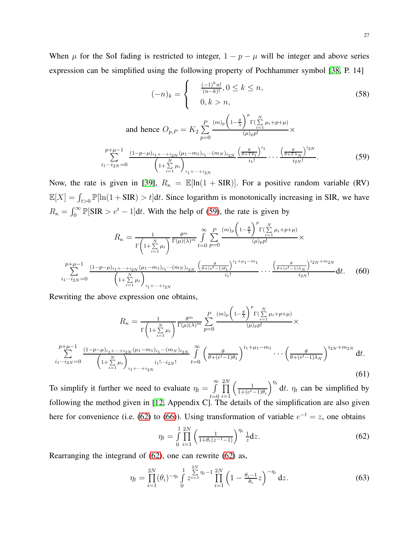When  $\mu$  for the SoI fading is restricted to integer,  $1 - p - \mu$  will be integer and above series expression can be simplified using the following property of Pochhammer symbol [\[38,](#page-29-14) P. 14]

$$
(-n)_k = \begin{cases} \frac{(-1)^k n!}{(n-k)!}, 0 \le k \le n, \\ 0, k > n, \end{cases}
$$
 (58)

<span id="page-26-0"></span>and hence 
$$
O_{p,P} = K_2 \sum_{p=0}^{P} \frac{(m)_p \left(1 - \frac{\theta}{\lambda}\right)^p \Gamma(\sum_{i=1}^{N} \mu_i + p + \mu)}{(\mu)_{p} p!} \times
$$

$$
\sum_{i_1 \cdots i_{2N} = 0}^{P+ \mu - 1} \frac{(1 - p - \mu)_{i_1 + \cdots + i_{2N}} (\mu_1 - m_1)_{i_1} \cdots (m_N)_{i_{2N}} \left(\frac{\theta}{\theta + T \theta_1}\right)^{i_1}}{\left(1 + \sum_{i=1}^{N} \mu_i\right)_{i_1 + \cdots + i_{2N}}} \cdots \frac{\left(\frac{\theta}{\theta + T \lambda_N}\right)^{i_{2N}}}{i_1!}.
$$
(59)

Now, the rate is given in [\[39\]](#page-29-15),  $R_{\kappa} = \mathbb{E}[\ln(1 + SIR)]$ . For a positive random variable (RV)  $\mathbb{E}[X] = \int_{t>0} \mathbb{P}[\ln(1 + \text{SIR}) > t] dt$ . Since logarithm is monotonically increasing in SIR, we have  $R_{\kappa} = \int_0^{\infty} \mathbb{P}[\text{SIR} > e^t - 1] dt$ . With the help of [\(59\)](#page-26-0), the rate is given by

$$
R_{\kappa} = \frac{1}{\Gamma\left(1 + \sum\limits_{i=1}^{N} \mu_{i}\right)} \frac{\theta^{m}}{\Gamma(\mu)(\lambda)^{m}} \int_{t=0}^{\infty} \sum_{p=0}^{P} \frac{(m)_{p} \left(1 - \frac{\theta}{\lambda}\right)^{p} \Gamma(\sum\limits_{i=1}^{N} \mu_{i} + p + \mu)}{(\mu)_{p} p!} \times
$$
\n
$$
\sum_{i_{1} \cdots i_{2N}=0}^{p+\mu-1} \frac{(1-p-\mu)_{i_{1}+\cdots+i_{2N}}(\mu_{1}-m_{1})_{i_{1}}\cdots(m_{N})_{i_{2N}}}{\left(1 + \sum\limits_{i=1}^{N} \mu_{i}\right)_{i_{1}+\cdots+i_{2N}}} \frac{\left(\frac{\theta}{\theta + (e^{t}-1)\theta_{1}}\right)^{i_{1}+\mu_{1}-m_{1}}}{i_{1}!} \cdots \frac{\left(\frac{\theta}{\theta + (e^{t}-1)\lambda_{N}}\right)^{i_{2N}+m_{2N}}}{i_{2N}!} dt. \quad (60)
$$

Rewriting the above expression one obtains,

$$
R_{\kappa} = \frac{1}{\Gamma\left(1 + \sum\limits_{i=1}^{N} \mu_{i}\right)} \frac{\theta^{m}}{\Gamma(\mu)(\lambda)^{m}} \sum_{p=0}^{P} \frac{(m)_{p} \left(1 - \frac{\theta}{\lambda}\right)^{p} \Gamma\left(\sum\limits_{i=1}^{N} \mu_{i} + p + \mu\right)}{(\mu_{p} p)!} \times
$$
\n
$$
\sum_{i_{1} \cdots i_{2N} = 0}^{p + \mu - 1} \frac{(1 - p - \mu)_{i_{1} + \dots + i_{2N}} (\mu_{1} - m_{1})_{i_{1}} \cdots (m_{N})_{i_{2N}}}{\left(1 + \sum\limits_{i=1}^{N} \mu_{i}\right)_{i_{1} + \dots + i_{2N}} \prod_{t=0}^{\infty} \left(\frac{\theta}{\theta + (e^{t} - 1)\theta_{1}}\right)^{i_{1} + \mu_{1} - m_{1}} \cdots \left(\frac{\theta}{\theta + (e^{t} - 1)\lambda_{N}}\right)^{i_{2N} + m_{2N}} dt.
$$
\n(61)

<span id="page-26-3"></span>To simplify it further we need to evaluate  $\eta_t = \int_{0}^{\infty}$  $_{t=0}$ 2  $\prod$ N  $i=1$  $\left(\frac{1}{1}\right)$  $1+(e^t-1)\theta_i$  $\int_{0}^{\eta_i} dt$ .  $\eta_t$  can be simplified by following the method given in [\[12,](#page-28-10) Appendix C]. The details of the simplification are also given here for convenience (i.e. [\(62\)](#page-26-1) to [\(66\)](#page-27-4)). Using transformation of variable  $e^{-t} = z$ , one obtains

<span id="page-26-1"></span>
$$
\eta_t = \int_0^1 \prod_{i=1}^{2N} \left( \frac{1}{1 + \theta_i (z^{-1} - 1)} \right)^{\eta_i} \frac{1}{z} dz.
$$
 (62)

Rearranging the integrand of [\(62\)](#page-26-1), one can rewrite [\(62\)](#page-26-1) as,

<span id="page-26-2"></span>
$$
\eta_t = \prod_{i=1}^{2N} (\theta_i)^{-\eta_i} \int_0^1 z^{2N \over 2^{i-1}} \prod_{i=1}^{2N} \left( 1 - \frac{\theta_i - 1}{\theta_i} z \right)^{-\eta_i} dz.
$$
 (63)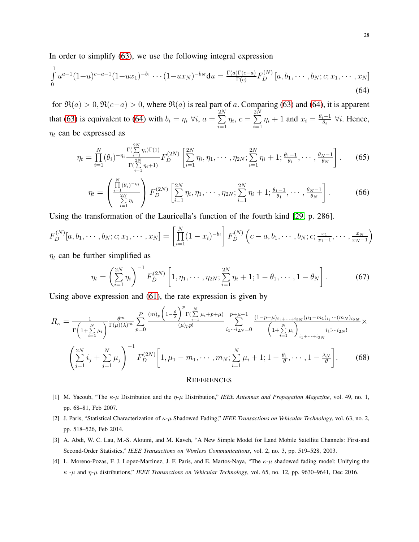In order to simplify [\(63\)](#page-26-2), we use the following integral expression

<span id="page-27-5"></span>
$$
\int_{0}^{1} u^{a-1} (1-u)^{c-a-1} (1-ux_1)^{-b_1} \cdots (1-ux_N)^{-b_N} du = \frac{\Gamma(a)\Gamma(c-a)}{\Gamma(c)} F_D^{(N)} [a, b_1, \cdots, b_N; c; x_1, \cdots, x_N]
$$
\n(64)

for  $\Re(a) > 0$ ,  $\Re(c-a) > 0$ , where  $\Re(a)$  is real part of a. Comparing [\(63\)](#page-26-2) and [\(64\)](#page-27-5), it is apparent that [\(63\)](#page-26-2) is equivalent to [\(64\)](#page-27-5) with  $b_i = \eta_i \,\forall i, a = \sum$ 2N  $i=1$  $\eta_i,\,c=\sum$ 2N  $i=1$  $\eta_i + 1$  and  $x_i = \frac{\theta_i - 1}{\theta_i} \ \forall i$ . Hence,  $\eta_t$  can be expressed as

$$
\eta_t = \prod_{i=1}^N (\theta_i)^{-\eta_i} \frac{\prod_{i=1}^{2N} \eta_i \prod_{j=1}^{2N}}{\prod_{i=1}^{2N} \eta_i + 1} F_D^{(2N)} \left[ \sum_{i=1}^{2N} \eta_i, \eta_1, \cdots, \eta_{2N}; \sum_{i=1}^{2N} \eta_i + 1; \frac{\theta_1 - 1}{\theta_1}, \cdots, \frac{\theta_N - 1}{\theta_N} \right].
$$
 (65)

<span id="page-27-4"></span>
$$
\eta_t = \left(\frac{\prod_{i=1}^N (\theta_i)^{-\eta_i}}{\sum_{i=1}^{2N} \eta_i}\right) F_D^{(2N)} \left[\sum_{i=1}^{2N} \eta_i, \eta_1, \cdots, \eta_{2N}; \sum_{i=1}^{2N} \eta_i + 1; \frac{\theta_1 - 1}{\theta_1}, \cdots, \frac{\theta_N - 1}{\theta_N}\right].
$$
 (66)

Using the transformation of the Lauricella's function of the fourth kind [\[29,](#page-29-5) p. 286].

$$
F_D^{(N)}[a, b_1, \cdots, b_N; c; x_1, \cdots, x_N] = \left[ \prod_{i=1}^N (1-x_i)^{-b_i} \right] F_D^{(N)}\left(c-a, b_1, \cdots, b_N; c; \frac{x_1}{x_1-1}, \cdots, \frac{x_N}{x_N-1}\right)
$$

 $\eta_t$  can be further simplified as

$$
\eta_t = \left(\sum_{i=1}^{2N} \eta_i\right)^{-1} F_D^{(2N)} \left[1, \eta_1, \cdots, \eta_{2N}; \sum_{i=1}^{2N} \eta_i + 1; 1 - \theta_1, \cdots, 1 - \theta_N\right].
$$
 (67)

Using above expression and [\(61\)](#page-26-3), the rate expression is given by

$$
R_{\kappa} = \frac{1}{\Gamma\left(1+\sum\limits_{i=1}^{N}\mu_{i}\right)} \frac{\theta^{m}}{\Gamma(\mu)(\lambda)^{m}} \sum_{p=0}^{P} \frac{(m)_{p} \left(1-\frac{\theta}{\lambda}\right)^{p} \Gamma\left(\sum\limits_{i=1}^{N}\mu_{i}+p+\mu\right)}{(\mu)_{p}p!} \sum_{i_{1}\cdots i_{2N}=0}^{p+\mu-1} \frac{(1-p-\mu)_{i_{1}+\cdots+i_{2N}}(\mu_{1}-m_{1})_{i_{1}}\cdots(m_{N})_{i_{2N}}}{\left(1+\sum\limits_{i=1}^{N}\mu_{i}\right)_{i_{1}+\cdots+i_{2N}}},
$$
\n
$$
\left(\sum_{j=1}^{2N} i_{j} + \sum_{j=1}^{N}\mu_{j}\right)^{-1} F_{D}^{(2N)}\left[1, \mu_{1}-m_{1}, \cdots, m_{N}; \sum_{i=1}^{N}\mu_{i}+1; 1-\frac{\theta_{1}}{\theta}, \cdots, 1-\frac{\lambda_{N}}{\theta}\right].
$$
\nREFERENCES

- <span id="page-27-1"></span><span id="page-27-0"></span>[1] M. Yacoub, "The κ-µ Distribution and the η-µ Distribution," *IEEE Antennas and Propagation Magazine*, vol. 49, no. 1, pp. 68–81, Feb 2007.
- <span id="page-27-3"></span>[2] J. Paris, "Statistical Characterization of κ-µ Shadowed Fading," *IEEE Transactions on Vehicular Technology*, vol. 63, no. 2, pp. 518–526, Feb 2014.
- <span id="page-27-2"></span>[3] A. Abdi, W. C. Lau, M.-S. Alouini, and M. Kaveh, "A New Simple Model for Land Mobile Satellite Channels: First-and Second-Order Statistics," *IEEE Transactions on Wireless Communications*, vol. 2, no. 3, pp. 519–528, 2003.
- [4] L. Moreno-Pozas, F. J. Lopez-Martinez, J. F. Paris, and E. Martos-Naya, "The κ-µ shadowed fading model: Unifying the κ -µ and η-µ distributions," *IEEE Transactions on Vehicular Technology*, vol. 65, no. 12, pp. 9630–9641, Dec 2016.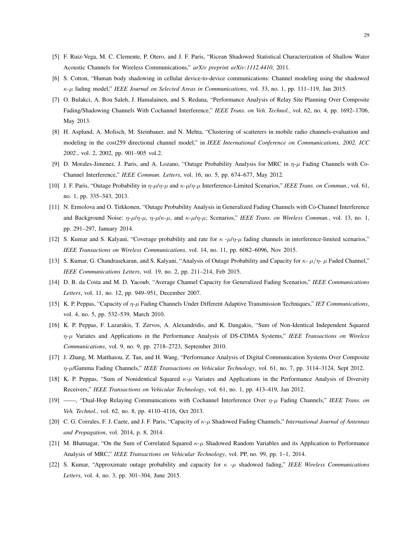- <span id="page-28-1"></span><span id="page-28-0"></span>[5] F. Ruiz-Vega, M. C. Clemente, P. Otero, and J. F. Paris, "Ricean Shadowed Statistical Characterization of Shallow Water Acoustic Channels for Wireless Communications," *arXiv preprint arXiv:1112.4410*, 2011.
- <span id="page-28-2"></span>[6] S. Cotton, "Human body shadowing in cellular device-to-device communications: Channel modeling using the shadowed κ-µ fading model," *IEEE Journal on Selected Areas in Communications*, vol. 33, no. 1, pp. 111–119, Jan 2015.
- [7] O. Bulakci, A. Bou Saleh, J. Hamalainen, and S. Redana, "Performance Analysis of Relay Site Planning Over Composite Fading/Shadowing Channels With Cochannel Interference," *IEEE Trans. on Veh. Technol.*, vol. 62, no. 4, pp. 1692–1706, May 2013.
- <span id="page-28-3"></span>[8] H. Asplund, A. Molisch, M. Steinbauer, and N. Mehta, "Clustering of scatterers in mobile radio channels-evaluation and modeling in the cost259 directional channel model," in *IEEE International Conference on Communications, 2002. ICC 2002.*, vol. 2, 2002, pp. 901–905 vol.2.
- <span id="page-28-6"></span><span id="page-28-4"></span>[9] D. Morales-Jimenez, J. Paris, and A. Lozano, "Outage Probability Analysis for MRC in  $\eta$ - $\mu$  Fading Channels with Co-Channel Interference," *IEEE Commun. Letters*, vol. 16, no. 5, pp. 674–677, May 2012.
- <span id="page-28-7"></span>[10] J. F. Paris, "Outage Probability in η-µ/η-µ and κ-µ/η-µ Interference-Limited Scenarios," *IEEE Trans. on Commun.*, vol. 61, no. 1, pp. 335–343, 2013.
- [11] N. Ermolova and O. Tirkkonen, "Outage Probability Analysis in Generalized Fading Channels with Co-Channel Interference and Background Noise:  $\eta$ - $\mu/\eta$ - $\mu$ ,  $\eta$ - $\mu/\kappa$ - $\mu$ , and  $\kappa$ - $\mu/\eta$ - $\mu$ ; Scenarios," *IEEE Trans. on Wireless Commun.*, vol. 13, no. 1, pp. 291–297, January 2014.
- <span id="page-28-10"></span><span id="page-28-5"></span>[12] S. Kumar and S. Kalyani, "Coverage probability and rate for  $\kappa$  - $\mu/\eta$ - $\mu$  fading channels in interference-limited scenarios," *IEEE Transactions on Wireless Communications*, vol. 14, no. 11, pp. 6082–6096, Nov 2015.
- <span id="page-28-8"></span>[13] S. Kumar, G. Chandrasekaran, and S. Kalyani, "Analysis of Outage Probability and Capacity for  $\kappa$ -  $\mu/\eta$ -  $\mu$  Faded Channel," *IEEE Communications Letters*, vol. 19, no. 2, pp. 211–214, Feb 2015.
- [14] D. B. da Costa and M. D. Yacoub, "Average Channel Capacity for Generalized Fading Scenarios," *IEEE Communications Letters*, vol. 11, no. 12, pp. 949–951, December 2007.
- [15] K. P. Peppas, "Capacity of η-µ Fading Channels Under Different Adaptive Transmission Techniques," *IET Communications*, vol. 4, no. 5, pp. 532–539, March 2010.
- [16] K. P. Peppas, F. Lazarakis, T. Zervos, A. Alexandridis, and K. Dangakis, "Sum of Non-Identical Independent Squared η-µ Variates and Applications in the Performance Analysis of DS-CDMA Systems," *IEEE Transactions on Wireless Communications*, vol. 9, no. 9, pp. 2718–2723, September 2010.
- <span id="page-28-9"></span>[17] J. Zhang, M. Matthaiou, Z. Tan, and H. Wang, "Performance Analysis of Digital Communication Systems Over Composite η-µ/Gamma Fading Channels," *IEEE Transactions on Vehicular Technology*, vol. 61, no. 7, pp. 3114–3124, Sept 2012.
- <span id="page-28-11"></span>[18] K. P. Peppas, "Sum of Nonidentical Squared κ-µ Variates and Applications in the Performance Analysis of Diversity Receivers," *IEEE Transactions on Vehicular Technology*, vol. 61, no. 1, pp. 413–419, Jan 2012.
- <span id="page-28-12"></span>[19] ——, "Dual-Hop Relaying Communications with Cochannel Interference Over η-µ Fading Channels," *IEEE Trans. on Veh. Technol.*, vol. 62, no. 8, pp. 4110–4116, Oct 2013.
- <span id="page-28-13"></span>[20] C. G. Corrales, F. J. Caete, and J. F. Paris, "Capacity of κ-µ Shadowed Fading Channels," *International Journal of Antennas and Propagation*, vol. 2014, p. 8, 2014.
- <span id="page-28-14"></span>[21] M. Bhatnagar, "On the Sum of Correlated Squared  $\kappa$ - $\mu$  Shadowed Random Variables and its Application to Performance Analysis of MRC," *IEEE Transactions on Vehicular Technology*, vol. PP, no. 99, pp. 1–1, 2014.
- [22] S. Kumar, "Approximate outage probability and capacity for κ -µ shadowed fading," *IEEE Wireless Communications Letters*, vol. 4, no. 3, pp. 301–304, June 2015.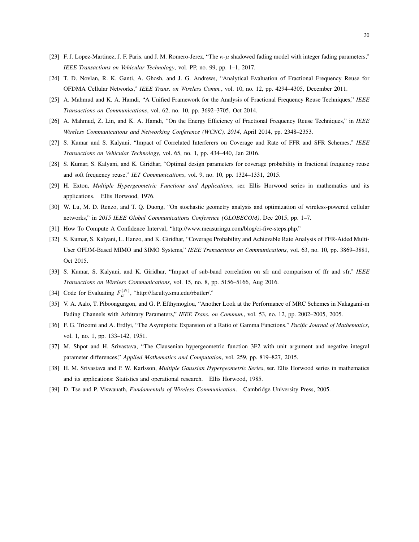- <span id="page-29-1"></span><span id="page-29-0"></span>[23] F. J. Lopez-Martinez, J. F. Paris, and J. M. Romero-Jerez, "The  $\kappa$ - $\mu$  shadowed fading model with integer fading parameters," *IEEE Transactions on Vehicular Technology*, vol. PP, no. 99, pp. 1–1, 2017.
- <span id="page-29-3"></span>[24] T. D. Novlan, R. K. Ganti, A. Ghosh, and J. G. Andrews, "Analytical Evaluation of Fractional Frequency Reuse for OFDMA Cellular Networks," *IEEE Trans. on Wireless Comm.*, vol. 10, no. 12, pp. 4294–4305, December 2011.
- [25] A. Mahmud and K. A. Hamdi, "A Unified Framework for the Analysis of Fractional Frequency Reuse Techniques," *IEEE Transactions on Communications*, vol. 62, no. 10, pp. 3692–3705, Oct 2014.
- <span id="page-29-4"></span>[26] A. Mahmud, Z. Lin, and K. A. Hamdi, "On the Energy Efficiency of Fractional Frequency Reuse Techniques," in *IEEE Wireless Communications and Networking Conference (WCNC), 2014*, April 2014, pp. 2348–2353.
- <span id="page-29-2"></span>[27] S. Kumar and S. Kalyani, "Impact of Correlated Interferers on Coverage and Rate of FFR and SFR Schemes," *IEEE Transactions on Vehicular Technology*, vol. 65, no. 1, pp. 434–440, Jan 2016.
- <span id="page-29-5"></span>[28] S. Kumar, S. Kalyani, and K. Giridhar, "Optimal design parameters for coverage probability in fractional frequency reuse and soft frequency reuse," *IET Communications*, vol. 9, no. 10, pp. 1324–1331, 2015.
- <span id="page-29-6"></span>[29] H. Exton, *Multiple Hypergeometric Functions and Applications*, ser. Ellis Horwood series in mathematics and its applications. Ellis Horwood, 1976.
- <span id="page-29-7"></span>[30] W. Lu, M. D. Renzo, and T. Q. Duong, "On stochastic geometry analysis and optimization of wireless-powered cellular networks," in *2015 IEEE Global Communications Conference (GLOBECOM)*, Dec 2015, pp. 1–7.
- <span id="page-29-8"></span>[31] How To Compute A Confidence Interval, "http://www.measuringu.com/blog/ci-five-steps.php."
- [32] S. Kumar, S. Kalyani, L. Hanzo, and K. Giridhar, "Coverage Probability and Achievable Rate Analysis of FFR-Aided Multi-User OFDM-Based MIMO and SIMO Systems," *IEEE Transactions on Communications*, vol. 63, no. 10, pp. 3869–3881, Oct 2015.
- <span id="page-29-10"></span><span id="page-29-9"></span>[33] S. Kumar, S. Kalyani, and K. Giridhar, "Impact of sub-band correlation on sfr and comparison of ffr and sfr," *IEEE Transactions on Wireless Communications*, vol. 15, no. 8, pp. 5156–5166, Aug 2016.
- <span id="page-29-11"></span>[34] Code for Evaluating  $F_D^{(N)}$ , "http://faculty.smu.edu/rbutler/."
- <span id="page-29-12"></span>[35] V. A. Aalo, T. Piboongungon, and G. P. Efthymoglou, "Another Look at the Performance of MRC Schemes in Nakagami-m Fading Channels with Arbitrary Parameters," *IEEE Trans. on Commun.*, vol. 53, no. 12, pp. 2002–2005, 2005.
- <span id="page-29-13"></span>[36] F. G. Tricomi and A. Erdlyi, "The Asymptotic Expansion of a Ratio of Gamma Functions." *Pacific Journal of Mathematics*, vol. 1, no. 1, pp. 133–142, 1951.
- <span id="page-29-14"></span>[37] M. Shpot and H. Srivastava, "The Clausenian hypergeometric function 3F2 with unit argument and negative integral parameter differences," *Applied Mathematics and Computation*, vol. 259, pp. 819–827, 2015.
- <span id="page-29-15"></span>[38] H. M. Srivastava and P. W. Karlsson, *Multiple Gaussian Hypergeometric Series*, ser. Ellis Horwood series in mathematics and its applications: Statistics and operational research. Ellis Horwood, 1985.
- [39] D. Tse and P. Viswanath, *Fundamentals of Wireless Communication*. Cambridge University Press, 2005.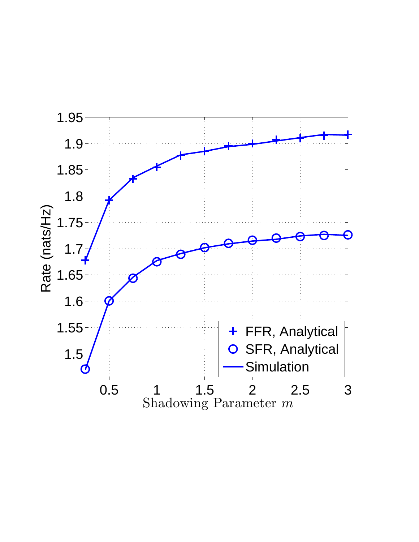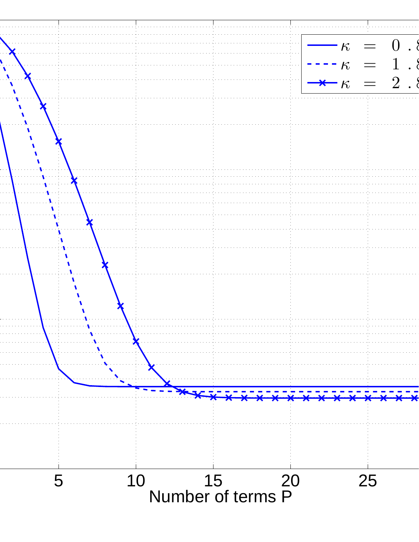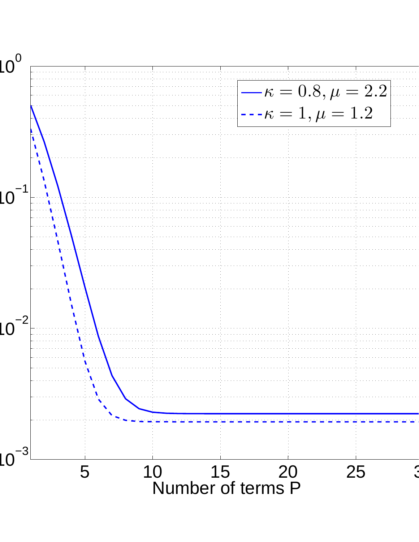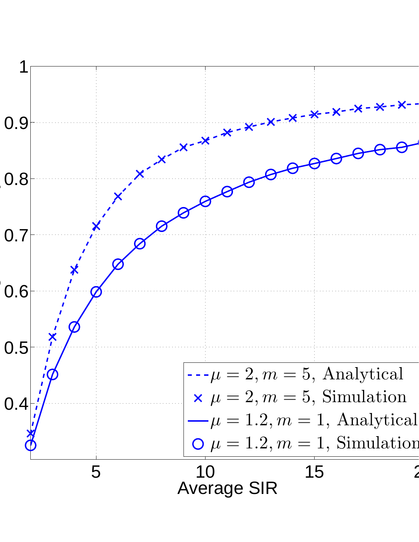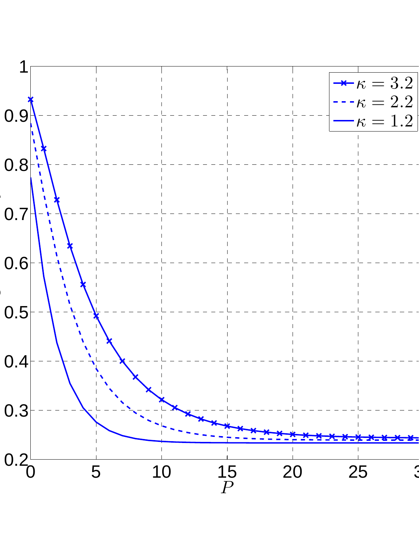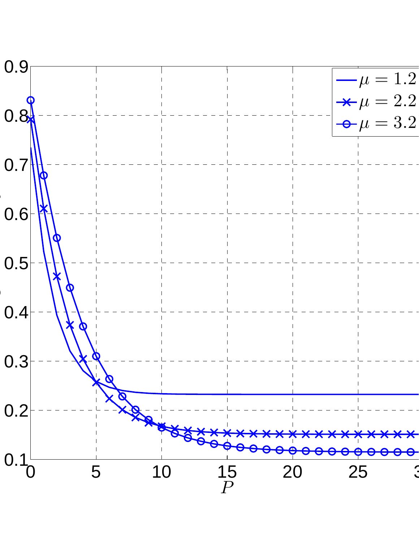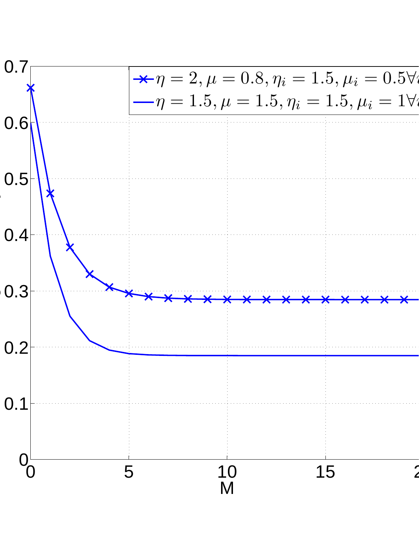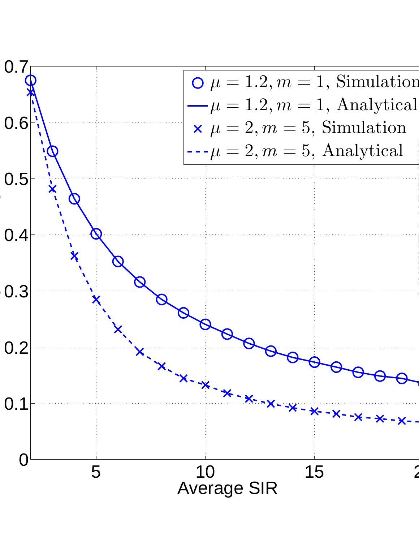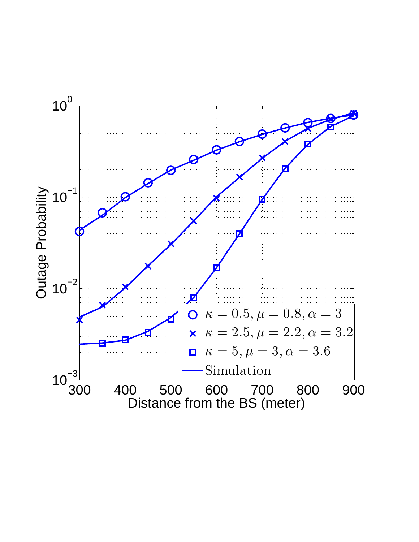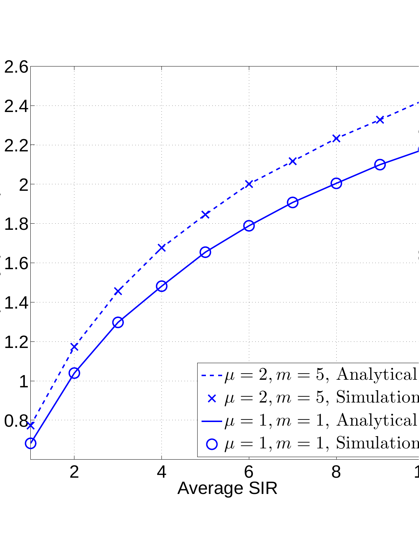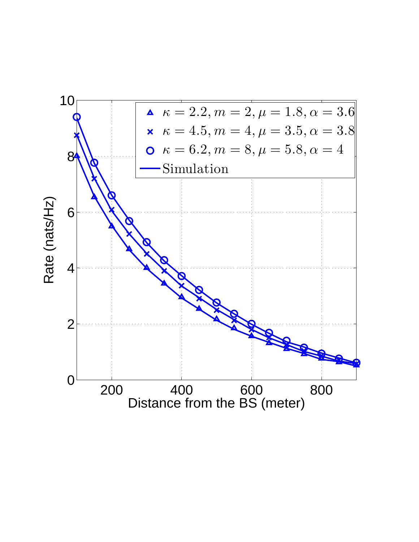